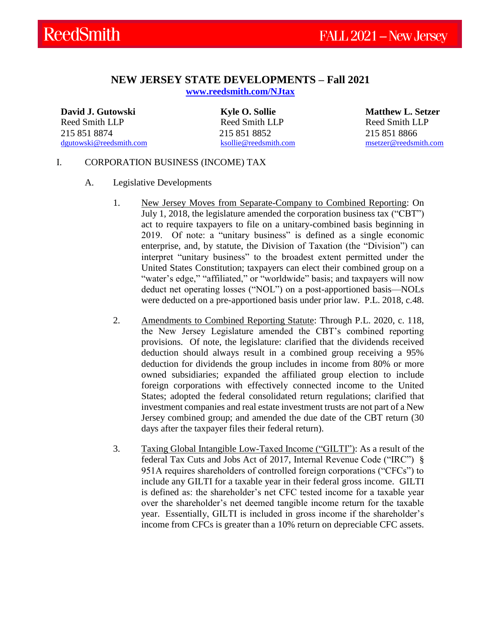## **NEW JERSEY STATE DEVELOPMENTS – Fall 2021**

**[www.reedsmith.com/NJtax](http://www.reedsmith.com/NJtax)**

**David J. Gutowski** Reed Smith LLP 215 851 8874 [dgutowski@reedsmith.com](mailto:dgutowski@reedsmith.com) <span id="page-0-0"></span>**Kyle O. Sollie** Reed Smith LLP 215 851 8852 [ksollie@reedsmith.com](mailto:ksollie@reedsmith.com)

**Matthew L. Setzer** Reed Smith LLP 215 851 8866 [msetzer@reedsmith.com](mailto:msetzer@reedsmith.com)

### I. CORPORATION BUSINESS (INCOME) TAX

- <span id="page-0-1"></span>A. Legislative Developments
	- 1. New Jersey Moves from Separate-Company to Combined Reporting: On July 1, 2018, the legislature amended the corporation business tax ("CBT") act to require taxpayers to file on a unitary-combined basis beginning in 2019. Of note: a "unitary business" is defined as a single economic enterprise, and, by statute, the Division of Taxation (the "Division") can interpret "unitary business" to the broadest extent permitted under the United States Constitution; taxpayers can elect their combined group on a "water's edge," "affiliated," or "worldwide" basis; and taxpayers will now deduct net operating losses ("NOL") on a post-apportioned basis—NOLs were deducted on a pre-apportioned basis under prior law. P.L. 2018, c.48.
	- 2. Amendments to Combined Reporting Statute: Through P.L. 2020, c. 118, the New Jersey Legislature amended the CBT's combined reporting provisions. Of note, the legislature: clarified that the dividends received deduction should always result in a combined group receiving a 95% deduction for dividends the group includes in income from 80% or more owned subsidiaries; expanded the affiliated group election to include foreign corporations with effectively connected income to the United States; adopted the federal consolidated return regulations; clarified that investment companies and real estate investment trusts are not part of a New Jersey combined group; and amended the due date of the CBT return (30 days after the taxpayer files their federal return).
	- 3. Taxing Global Intangible Low-Taxed Income ("GILTI"): As a result of the federal Tax Cuts and Jobs Act of 2017, Internal Revenue Code ("IRC") § 951A requires shareholders of controlled foreign corporations ("CFCs") to include any GILTI for a taxable year in their federal gross income. GILTI is defined as: the shareholder's net CFC tested income for a taxable year over the shareholder's net deemed tangible income return for the taxable year. Essentially, GILTI is included in gross income if the shareholder's income from CFCs is greater than a 10% return on depreciable CFC assets.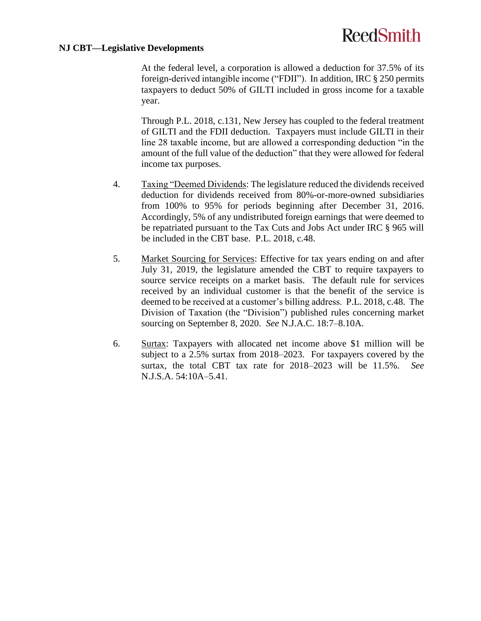#### **NJ CBT—Legislative Developments**

At the federal level, a corporation is allowed a deduction for 37.5% of its foreign-derived intangible income ("FDII"). In addition, IRC § 250 permits taxpayers to deduct 50% of GILTI included in gross income for a taxable year.

Through P.L. 2018, c.131, New Jersey has coupled to the federal treatment of GILTI and the FDII deduction. Taxpayers must include GILTI in their line 28 taxable income, but are allowed a corresponding deduction "in the amount of the full value of the deduction" that they were allowed for federal income tax purposes.

- 4. Taxing "Deemed Dividends: The legislature reduced the dividends received deduction for dividends received from 80%-or-more-owned subsidiaries from 100% to 95% for periods beginning after December 31, 2016. Accordingly, 5% of any undistributed foreign earnings that were deemed to be repatriated pursuant to the Tax Cuts and Jobs Act under IRC § 965 will be included in the CBT base. P.L. 2018, c.48.
- 5. Market Sourcing for Services: Effective for tax years ending on and after July 31, 2019, the legislature amended the CBT to require taxpayers to source service receipts on a market basis. The default rule for services received by an individual customer is that the benefit of the service is deemed to be received at a customer's billing address. P.L. 2018, c.48. The Division of Taxation (the "Division") published rules concerning market sourcing on September 8, 2020. *See* N.J.A.C. 18:7–8.10A.
- 6. Surtax: Taxpayers with allocated net income above \$1 million will be subject to a 2.5% surtax from 2018–2023. For taxpayers covered by the surtax, the total CBT tax rate for 2018–2023 will be 11.5%. *See* N.J.S.A. 54:10A–5.41.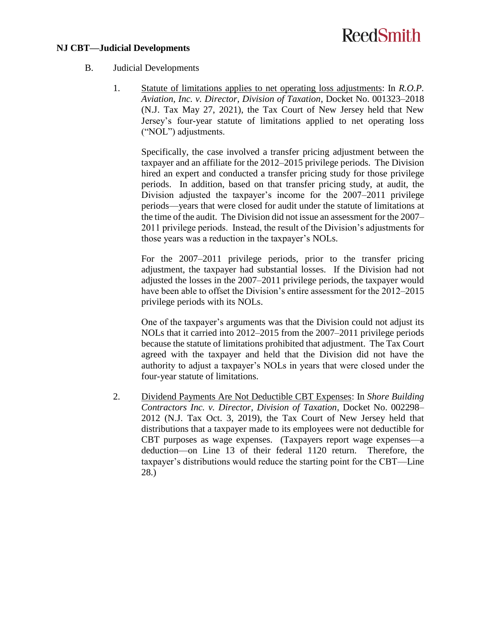#### **NJ CBT—Judicial Developments**

- <span id="page-2-0"></span>B. Judicial Developments
	- 1. Statute of limitations applies to net operating loss adjustments: In *R.O.P. Aviation, Inc. v. Director, Division of Taxation*, Docket No. 001323–2018 (N.J. Tax May 27, 2021), the Tax Court of New Jersey held that New Jersey's four-year statute of limitations applied to net operating loss ("NOL") adjustments.

Specifically, the case involved a transfer pricing adjustment between the taxpayer and an affiliate for the 2012–2015 privilege periods. The Division hired an expert and conducted a transfer pricing study for those privilege periods. In addition, based on that transfer pricing study, at audit, the Division adjusted the taxpayer's income for the 2007–2011 privilege periods—years that were closed for audit under the statute of limitations at the time of the audit. The Division did not issue an assessment for the 2007– 2011 privilege periods. Instead, the result of the Division's adjustments for those years was a reduction in the taxpayer's NOLs.

For the 2007–2011 privilege periods, prior to the transfer pricing adjustment, the taxpayer had substantial losses. If the Division had not adjusted the losses in the 2007–2011 privilege periods, the taxpayer would have been able to offset the Division's entire assessment for the 2012–2015 privilege periods with its NOLs.

One of the taxpayer's arguments was that the Division could not adjust its NOLs that it carried into 2012–2015 from the 2007–2011 privilege periods because the statute of limitations prohibited that adjustment. The Tax Court agreed with the taxpayer and held that the Division did not have the authority to adjust a taxpayer's NOLs in years that were closed under the four-year statute of limitations.

2. Dividend Payments Are Not Deductible CBT Expenses: In *Shore Building Contractors Inc. v. Director, Division of Taxation*, Docket No. 002298– 2012 (N.J. Tax Oct. 3, 2019), the Tax Court of New Jersey held that distributions that a taxpayer made to its employees were not deductible for CBT purposes as wage expenses. (Taxpayers report wage expenses—a deduction—on Line 13 of their federal 1120 return. Therefore, the taxpayer's distributions would reduce the starting point for the CBT—Line 28.)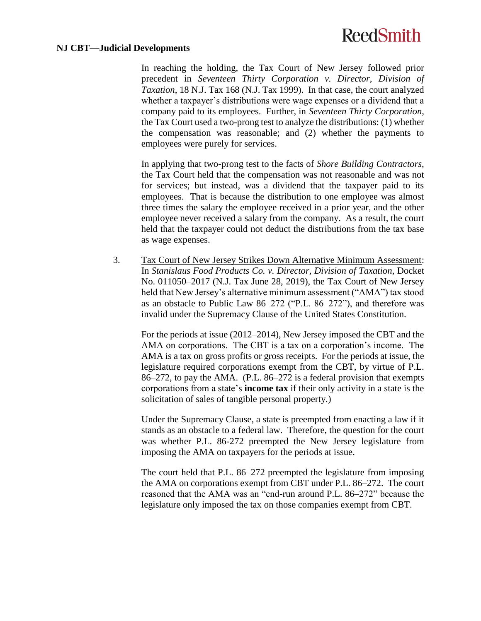#### **NJ CBT—Judicial Developments**

In reaching the holding, the Tax Court of New Jersey followed prior precedent in *Seventeen Thirty Corporation v. Director, Division of Taxation*, 18 N.J. Tax 168 (N.J. Tax 1999). In that case, the court analyzed whether a taxpayer's distributions were wage expenses or a dividend that a company paid to its employees. Further, in *Seventeen Thirty Corporation*, the Tax Court used a two-prong test to analyze the distributions: (1) whether the compensation was reasonable; and (2) whether the payments to employees were purely for services.

In applying that two-prong test to the facts of *Shore Building Contractors*, the Tax Court held that the compensation was not reasonable and was not for services; but instead, was a dividend that the taxpayer paid to its employees. That is because the distribution to one employee was almost three times the salary the employee received in a prior year, and the other employee never received a salary from the company. As a result, the court held that the taxpayer could not deduct the distributions from the tax base as wage expenses.

3. Tax Court of New Jersey Strikes Down Alternative Minimum Assessment: In *Stanislaus Food Products Co. v. Director, Division of Taxation*, Docket No. 011050–2017 (N.J. Tax June 28, 2019), the Tax Court of New Jersey held that New Jersey's alternative minimum assessment ("AMA") tax stood as an obstacle to Public Law 86–272 ("P.L. 86–272"), and therefore was invalid under the Supremacy Clause of the United States Constitution.

For the periods at issue (2012–2014), New Jersey imposed the CBT and the AMA on corporations. The CBT is a tax on a corporation's income. The AMA is a tax on gross profits or gross receipts. For the periods at issue, the legislature required corporations exempt from the CBT, by virtue of P.L. 86–272, to pay the AMA. (P.L. 86–272 is a federal provision that exempts corporations from a state's **income tax** if their only activity in a state is the solicitation of sales of tangible personal property.)

Under the Supremacy Clause, a state is preempted from enacting a law if it stands as an obstacle to a federal law. Therefore, the question for the court was whether P.L. 86-272 preempted the New Jersey legislature from imposing the AMA on taxpayers for the periods at issue.

The court held that P.L. 86–272 preempted the legislature from imposing the AMA on corporations exempt from CBT under P.L. 86–272. The court reasoned that the AMA was an "end-run around P.L. 86–272" because the legislature only imposed the tax on those companies exempt from CBT.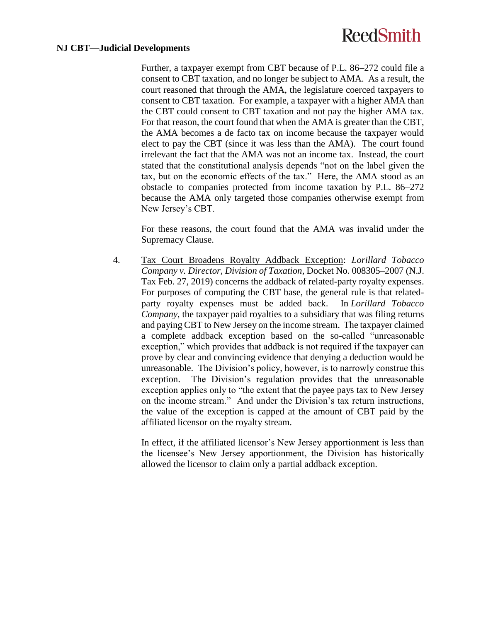#### **NJ CBT—Judicial Developments**

Further, a taxpayer exempt from CBT because of P.L. 86–272 could file a consent to CBT taxation, and no longer be subject to AMA. As a result, the court reasoned that through the AMA, the legislature coerced taxpayers to consent to CBT taxation. For example, a taxpayer with a higher AMA than the CBT could consent to CBT taxation and not pay the higher AMA tax. For that reason, the court found that when the AMA is greater than the CBT, the AMA becomes a de facto tax on income because the taxpayer would elect to pay the CBT (since it was less than the AMA). The court found irrelevant the fact that the AMA was not an income tax. Instead, the court stated that the constitutional analysis depends "not on the label given the tax, but on the economic effects of the tax." Here, the AMA stood as an obstacle to companies protected from income taxation by P.L. 86–272 because the AMA only targeted those companies otherwise exempt from New Jersey's CBT.

For these reasons, the court found that the AMA was invalid under the Supremacy Clause.

4. Tax Court Broadens Royalty Addback Exception: *Lorillard Tobacco Company v. Director, Division of Taxation*, Docket No. 008305–2007 (N.J. Tax Feb. 27, 2019) concerns the addback of related-party royalty expenses. For purposes of computing the CBT base, the general rule is that relatedparty royalty expenses must be added back. In *Lorillard Tobacco Company*, the taxpayer paid royalties to a subsidiary that was filing returns and paying CBT to New Jersey on the income stream. The taxpayer claimed a complete addback exception based on the so-called "unreasonable exception," which provides that addback is not required if the taxpayer can prove by clear and convincing evidence that denying a deduction would be unreasonable. The Division's policy, however, is to narrowly construe this exception. The Division's regulation provides that the unreasonable exception applies only to "the extent that the payee pays tax to New Jersey on the income stream." And under the Division's tax return instructions, the value of the exception is capped at the amount of CBT paid by the affiliated licensor on the royalty stream.

In effect, if the affiliated licensor's New Jersey apportionment is less than the licensee's New Jersey apportionment, the Division has historically allowed the licensor to claim only a partial addback exception.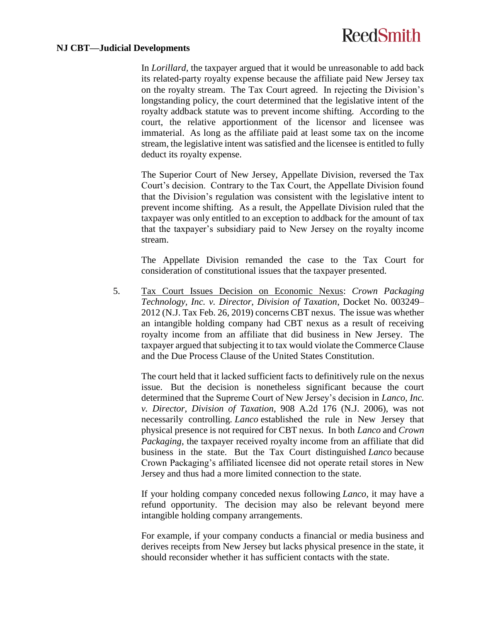#### **NJ CBT—Judicial Developments**

In *Lorillard,* the taxpayer argued that it would be unreasonable to add back its related-party royalty expense because the affiliate paid New Jersey tax on the royalty stream. The Tax Court agreed. In rejecting the Division's longstanding policy, the court determined that the legislative intent of the royalty addback statute was to prevent income shifting. According to the court, the relative apportionment of the licensor and licensee was immaterial. As long as the affiliate paid at least some tax on the income stream, the legislative intent was satisfied and the licensee is entitled to fully deduct its royalty expense.

The Superior Court of New Jersey, Appellate Division, reversed the Tax Court's decision. Contrary to the Tax Court, the Appellate Division found that the Division's regulation was consistent with the legislative intent to prevent income shifting. As a result, the Appellate Division ruled that the taxpayer was only entitled to an exception to addback for the amount of tax that the taxpayer's subsidiary paid to New Jersey on the royalty income stream.

The Appellate Division remanded the case to the Tax Court for consideration of constitutional issues that the taxpayer presented.

5. Tax Court Issues Decision on Economic Nexus: *Crown Packaging Technology, Inc. v. Director, Division of Taxation*, Docket No. 003249– 2012 (N.J. Tax Feb. 26, 2019) concerns CBT nexus. The issue was whether an intangible holding company had CBT nexus as a result of receiving royalty income from an affiliate that did business in New Jersey. The taxpayer argued that subjecting it to tax would violate the Commerce Clause and the Due Process Clause of the United States Constitution.

The court held that it lacked sufficient facts to definitively rule on the nexus issue. But the decision is nonetheless significant because the court determined that the Supreme Court of New Jersey's decision in *Lanco, Inc. v. Director, Division of Taxation*, 908 A.2d 176 (N.J. 2006), was not necessarily controlling. *Lanco* established the rule in New Jersey that physical presence is not required for CBT nexus. In both *Lanco* and *Crown Packaging*, the taxpayer received royalty income from an affiliate that did business in the state. But the Tax Court distinguished *Lanco* because Crown Packaging's affiliated licensee did not operate retail stores in New Jersey and thus had a more limited connection to the state.

If your holding company conceded nexus following *Lanco*, it may have a refund opportunity. The decision may also be relevant beyond mere intangible holding company arrangements.

For example, if your company conducts a financial or media business and derives receipts from New Jersey but lacks physical presence in the state, it should reconsider whether it has sufficient contacts with the state.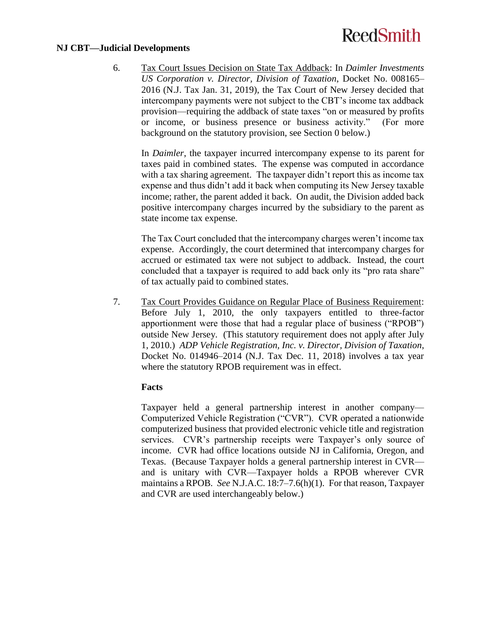#### **NJ CBT—Judicial Developments**

6. Tax Court Issues Decision on State Tax Addback: In *Daimler Investments US Corporation v. Director, Division of Taxation*, Docket No. 008165– 2016 (N.J. Tax Jan. 31, 2019), the Tax Court of New Jersey decided that intercompany payments were not subject to the CBT's income tax addback provision—requiring the addback of state taxes "on or measured by profits or income, or business presence or business activity." (For more background on the statutory provision, see Section [0](#page-10-0) below.)

In *Daimler*, the taxpayer incurred intercompany expense to its parent for taxes paid in combined states. The expense was computed in accordance with a tax sharing agreement. The taxpayer didn't report this as income tax expense and thus didn't add it back when computing its New Jersey taxable income; rather, the parent added it back. On audit, the Division added back positive intercompany charges incurred by the subsidiary to the parent as state income tax expense.

The Tax Court concluded that the intercompany charges weren't income tax expense. Accordingly, the court determined that intercompany charges for accrued or estimated tax were not subject to addback. Instead, the court concluded that a taxpayer is required to add back only its "pro rata share" of tax actually paid to combined states.

7. Tax Court Provides Guidance on Regular Place of Business Requirement: Before July 1, 2010, the only taxpayers entitled to three-factor apportionment were those that had a regular place of business ("RPOB") outside New Jersey. (This statutory requirement does not apply after July 1, 2010.) *ADP Vehicle Registration, Inc. v. Director, Division of Taxation*, Docket No. 014946–2014 (N.J. Tax Dec. 11, 2018) involves a tax year where the statutory RPOB requirement was in effect.

### **Facts**

Taxpayer held a general partnership interest in another company— Computerized Vehicle Registration ("CVR"). CVR operated a nationwide computerized business that provided electronic vehicle title and registration services. CVR's partnership receipts were Taxpayer's only source of income. CVR had office locations outside NJ in California, Oregon, and Texas. (Because Taxpayer holds a general partnership interest in CVR and is unitary with CVR—Taxpayer holds a RPOB wherever CVR maintains a RPOB. *See* N.J.A.C. 18:7–7.6(h)(1). For that reason, Taxpayer and CVR are used interchangeably below.)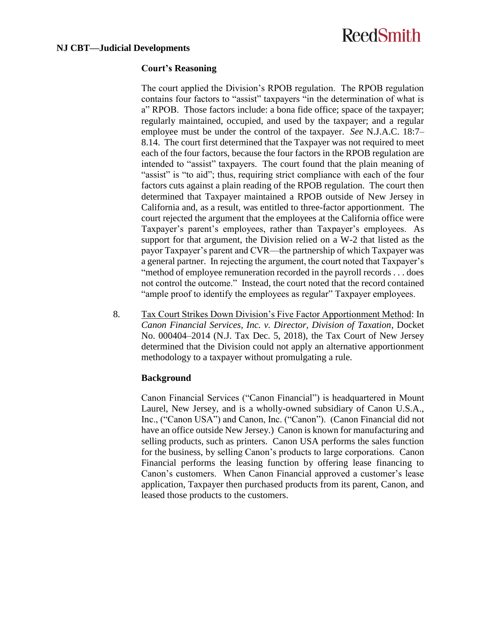### **Court's Reasoning**

The court applied the Division's RPOB regulation. The RPOB regulation contains four factors to "assist" taxpayers "in the determination of what is a" RPOB. Those factors include: a bona fide office; space of the taxpayer; regularly maintained, occupied, and used by the taxpayer; and a regular employee must be under the control of the taxpayer. *See* N.J.A.C. 18:7– 8.14. The court first determined that the Taxpayer was not required to meet each of the four factors, because the four factors in the RPOB regulation are intended to "assist" taxpayers. The court found that the plain meaning of "assist" is "to aid"; thus, requiring strict compliance with each of the four factors cuts against a plain reading of the RPOB regulation. The court then determined that Taxpayer maintained a RPOB outside of New Jersey in California and, as a result, was entitled to three-factor apportionment. The court rejected the argument that the employees at the California office were Taxpayer's parent's employees, rather than Taxpayer's employees. As support for that argument, the Division relied on a W-2 that listed as the payor Taxpayer's parent and CVR—the partnership of which Taxpayer was a general partner. In rejecting the argument, the court noted that Taxpayer's "method of employee remuneration recorded in the payroll records . . . does not control the outcome." Instead, the court noted that the record contained "ample proof to identify the employees as regular" Taxpayer employees.

8. Tax Court Strikes Down Division's Five Factor Apportionment Method: In *Canon Financial Services, Inc. v. Director, Division of Taxation*, Docket No. 000404–2014 (N.J. Tax Dec. 5, 2018), the Tax Court of New Jersey determined that the Division could not apply an alternative apportionment methodology to a taxpayer without promulgating a rule.

### **Background**

Canon Financial Services ("Canon Financial") is headquartered in Mount Laurel, New Jersey, and is a wholly-owned subsidiary of Canon U.S.A., Inc., ("Canon USA") and Canon, Inc. ("Canon"). (Canon Financial did not have an office outside New Jersey.) Canon is known for manufacturing and selling products, such as printers. Canon USA performs the sales function for the business, by selling Canon's products to large corporations. Canon Financial performs the leasing function by offering lease financing to Canon's customers. When Canon Financial approved a customer's lease application, Taxpayer then purchased products from its parent, Canon, and leased those products to the customers.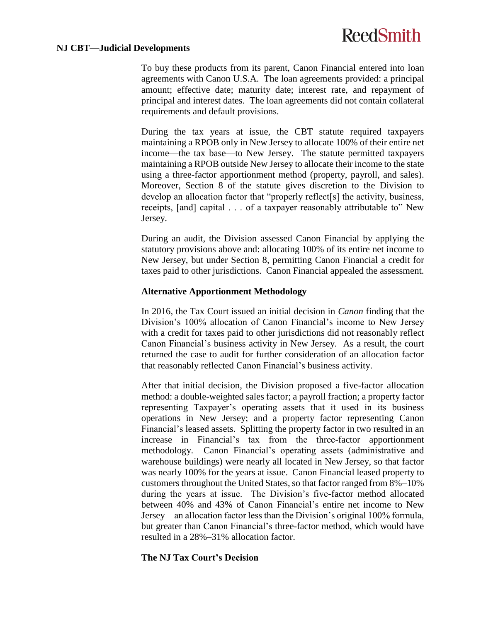#### **NJ CBT—Judicial Developments**

To buy these products from its parent, Canon Financial entered into loan agreements with Canon U.S.A. The loan agreements provided: a principal amount; effective date; maturity date; interest rate, and repayment of principal and interest dates. The loan agreements did not contain collateral requirements and default provisions.

During the tax years at issue, the CBT statute required taxpayers maintaining a RPOB only in New Jersey to allocate 100% of their entire net income—the tax base—to New Jersey. The statute permitted taxpayers maintaining a RPOB outside New Jersey to allocate their income to the state using a three-factor apportionment method (property, payroll, and sales). Moreover, Section 8 of the statute gives discretion to the Division to develop an allocation factor that "properly reflect[s] the activity, business, receipts, [and] capital . . . of a taxpayer reasonably attributable to" New Jersey.

During an audit, the Division assessed Canon Financial by applying the statutory provisions above and: allocating 100% of its entire net income to New Jersey, but under Section 8, permitting Canon Financial a credit for taxes paid to other jurisdictions. Canon Financial appealed the assessment.

### **Alternative Apportionment Methodology**

In 2016, the Tax Court issued an initial decision in *Canon* finding that the Division's 100% allocation of Canon Financial's income to New Jersey with a credit for taxes paid to other jurisdictions did not reasonably reflect Canon Financial's business activity in New Jersey. As a result, the court returned the case to audit for further consideration of an allocation factor that reasonably reflected Canon Financial's business activity.

After that initial decision, the Division proposed a five-factor allocation method: a double-weighted sales factor; a payroll fraction; a property factor representing Taxpayer's operating assets that it used in its business operations in New Jersey; and a property factor representing Canon Financial's leased assets. Splitting the property factor in two resulted in an increase in Financial's tax from the three-factor apportionment methodology. Canon Financial's operating assets (administrative and warehouse buildings) were nearly all located in New Jersey, so that factor was nearly 100% for the years at issue. Canon Financial leased property to customers throughout the United States, so that factor ranged from 8%–10% during the years at issue. The Division's five-factor method allocated between 40% and 43% of Canon Financial's entire net income to New Jersey—an allocation factor less than the Division's original 100% formula, but greater than Canon Financial's three-factor method, which would have resulted in a 28%–31% allocation factor.

## **The NJ Tax Court's Decision**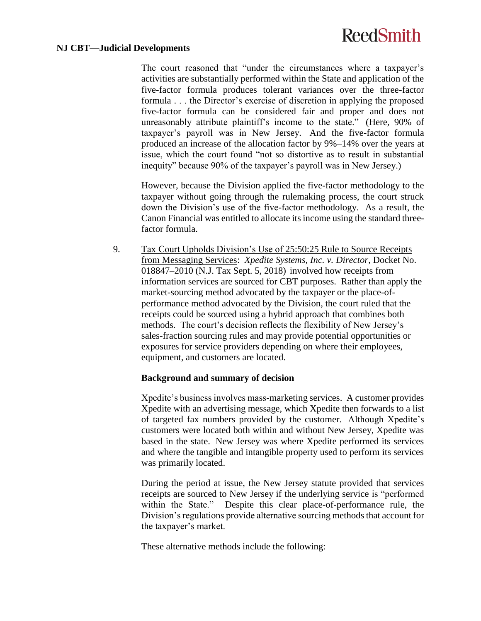#### **NJ CBT—Judicial Developments**

The court reasoned that "under the circumstances where a taxpayer's activities are substantially performed within the State and application of the five-factor formula produces tolerant variances over the three-factor formula . . . the Director's exercise of discretion in applying the proposed five-factor formula can be considered fair and proper and does not unreasonably attribute plaintiff's income to the state." (Here, 90% of taxpayer's payroll was in New Jersey. And the five-factor formula produced an increase of the allocation factor by 9%–14% over the years at issue, which the court found "not so distortive as to result in substantial inequity" because 90% of the taxpayer's payroll was in New Jersey.)

However, because the Division applied the five-factor methodology to the taxpayer without going through the rulemaking process, the court struck down the Division's use of the five-factor methodology. As a result, the Canon Financial was entitled to allocate its income using the standard threefactor formula.

9. Tax Court Upholds Division's Use of 25:50:25 Rule to Source Receipts from Messaging Services: *Xpedite Systems, Inc. v. Director*, Docket No. 018847–2010 (N.J. Tax Sept. 5, 2018) involved how receipts from information services are sourced for CBT purposes. Rather than apply the market-sourcing method advocated by the taxpayer or the place-ofperformance method advocated by the Division, the court ruled that the receipts could be sourced using a hybrid approach that combines both methods. The court's decision reflects the flexibility of New Jersey's sales-fraction sourcing rules and may provide potential opportunities or exposures for service providers depending on where their employees, equipment, and customers are located.

### **Background and summary of decision**

Xpedite's business involves mass-marketing services. A customer provides Xpedite with an advertising message, which Xpedite then forwards to a list of targeted fax numbers provided by the customer. Although Xpedite's customers were located both within and without New Jersey, Xpedite was based in the state. New Jersey was where Xpedite performed its services and where the tangible and intangible property used to perform its services was primarily located.

During the period at issue, the New Jersey statute provided that services receipts are sourced to New Jersey if the underlying service is "performed within the State." Despite this clear place-of-performance rule, the Division's regulations provide alternative sourcing methods that account for the taxpayer's market.

These alternative methods include the following: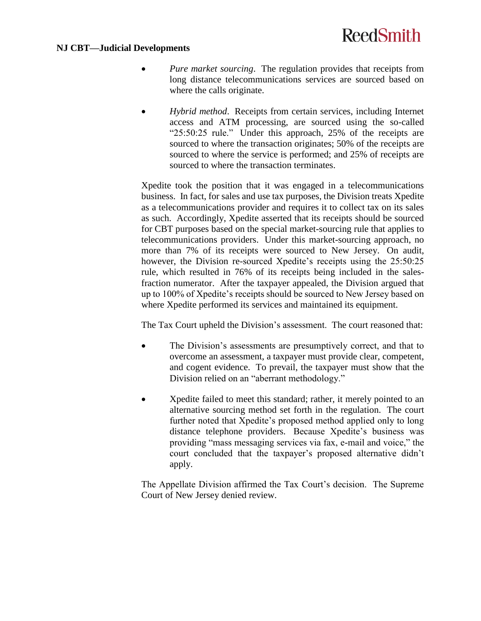### **NJ CBT—Judicial Developments**

- *Pure market sourcing*. The regulation provides that receipts from long distance telecommunications services are sourced based on where the calls originate.
- *Hybrid method*. Receipts from certain services, including Internet access and ATM processing, are sourced using the so-called "25:50:25 rule." Under this approach, 25% of the receipts are sourced to where the transaction originates; 50% of the receipts are sourced to where the service is performed; and 25% of receipts are sourced to where the transaction terminates.

Xpedite took the position that it was engaged in a telecommunications business. In fact, for sales and use tax purposes, the Division treats Xpedite as a telecommunications provider and requires it to collect tax on its sales as such. Accordingly, Xpedite asserted that its receipts should be sourced for CBT purposes based on the special market-sourcing rule that applies to telecommunications providers. Under this market-sourcing approach, no more than 7% of its receipts were sourced to New Jersey. On audit, however, the Division re-sourced Xpedite's receipts using the 25:50:25 rule, which resulted in 76% of its receipts being included in the salesfraction numerator. After the taxpayer appealed, the Division argued that up to 100% of Xpedite's receipts should be sourced to New Jersey based on where Xpedite performed its services and maintained its equipment.

The Tax Court upheld the Division's assessment. The court reasoned that:

- The Division's assessments are presumptively correct, and that to overcome an assessment, a taxpayer must provide clear, competent, and cogent evidence. To prevail, the taxpayer must show that the Division relied on an "aberrant methodology."
- Xpedite failed to meet this standard; rather, it merely pointed to an alternative sourcing method set forth in the regulation. The court further noted that Xpedite's proposed method applied only to long distance telephone providers. Because Xpedite's business was providing "mass messaging services via fax, e-mail and voice," the court concluded that the taxpayer's proposed alternative didn't apply.

<span id="page-10-0"></span>The Appellate Division affirmed the Tax Court's decision. The Supreme Court of New Jersey denied review.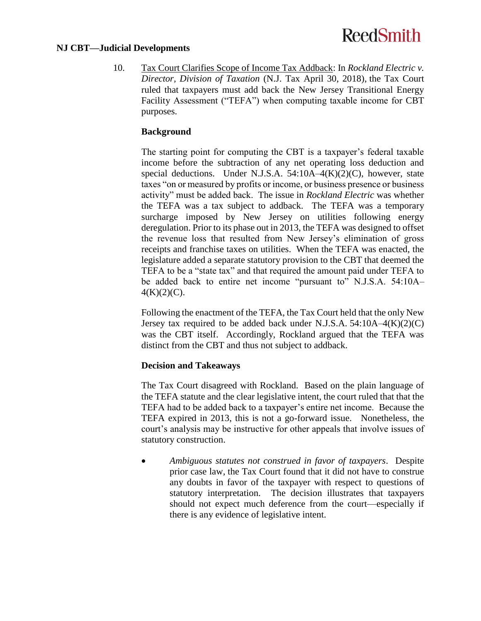#### **NJ CBT—Judicial Developments**

10. Tax Court Clarifies Scope of Income Tax Addback: In *Rockland Electric v. Director, Division of Taxation* (N.J. Tax April 30, 2018), the Tax Court ruled that taxpayers must add back the New Jersey Transitional Energy Facility Assessment ("TEFA") when computing taxable income for CBT purposes.

### **Background**

The starting point for computing the CBT is a taxpayer's federal taxable income before the subtraction of any net operating loss deduction and special deductions. Under N.J.S.A. 54:10A–4(K)(2)(C), however, state taxes "on or measured by profits or income, or business presence or business activity" must be added back. The issue in *Rockland Electric* was whether the TEFA was a tax subject to addback. The TEFA was a temporary surcharge imposed by New Jersey on utilities following energy deregulation. Prior to its phase out in 2013, the TEFA was designed to offset the revenue loss that resulted from New Jersey's elimination of gross receipts and franchise taxes on utilities. When the TEFA was enacted, the legislature added a separate statutory provision to the CBT that deemed the TEFA to be a "state tax" and that required the amount paid under TEFA to be added back to entire net income "pursuant to" N.J.S.A. 54:10A–  $4(K)(2)(C)$ .

Following the enactment of the TEFA, the Tax Court held that the only New Jersey tax required to be added back under N.J.S.A.  $54:10A-4(K)(2)(C)$ was the CBT itself. Accordingly, Rockland argued that the TEFA was distinct from the CBT and thus not subject to addback.

### **Decision and Takeaways**

The Tax Court disagreed with Rockland. Based on the plain language of the TEFA statute and the clear legislative intent, the court ruled that that the TEFA had to be added back to a taxpayer's entire net income. Because the TEFA expired in 2013, this is not a go-forward issue. Nonetheless, the court's analysis may be instructive for other appeals that involve issues of statutory construction.

 *Ambiguous statutes not construed in favor of taxpayers*. Despite prior case law, the Tax Court found that it did not have to construe any doubts in favor of the taxpayer with respect to questions of statutory interpretation. The decision illustrates that taxpayers should not expect much deference from the court—especially if there is any evidence of legislative intent.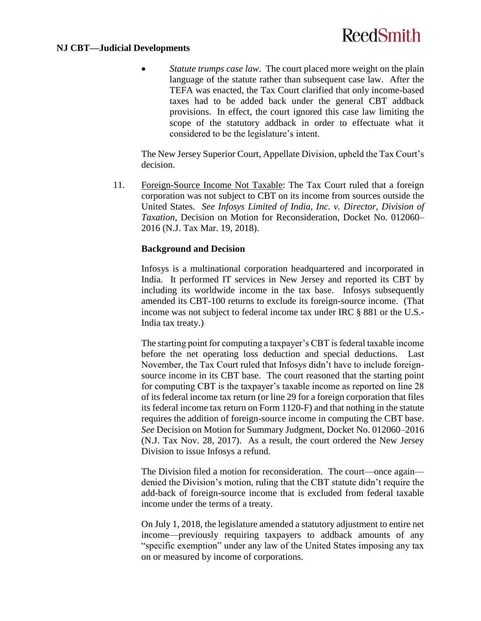#### **NJ CBT—Judicial Developments**

 *Statute trumps case law*. The court placed more weight on the plain language of the statute rather than subsequent case law. After the TEFA was enacted, the Tax Court clarified that only income-based taxes had to be added back under the general CBT addback provisions. In effect, the court ignored this case law limiting the scope of the statutory addback in order to effectuate what it considered to be the legislature's intent.

The New Jersey Superior Court, Appellate Division, upheld the Tax Court's decision.

<span id="page-12-0"></span>11. Foreign-Source Income Not Taxable: The Tax Court ruled that a foreign corporation was not subject to CBT on its income from sources outside the United States. *See Infosys Limited of India, Inc. v. Director, Division of Taxation*, Decision on Motion for Reconsideration, Docket No. 012060– 2016 (N.J. Tax Mar. 19, 2018).

### **Background and Decision**

Infosys is a multinational corporation headquartered and incorporated in India. It performed IT services in New Jersey and reported its CBT by including its worldwide income in the tax base. Infosys subsequently amended its CBT-100 returns to exclude its foreign-source income. (That income was not subject to federal income tax under IRC § 881 or the U.S.- India tax treaty.)

The starting point for computing a taxpayer's CBT is federal taxable income before the net operating loss deduction and special deductions. Last November, the Tax Court ruled that Infosys didn't have to include foreignsource income in its CBT base. The court reasoned that the starting point for computing CBT is the taxpayer's taxable income as reported on line 28 of its federal income tax return (or line 29 for a foreign corporation that files its federal income tax return on Form 1120-F) and that nothing in the statute requires the addition of foreign-source income in computing the CBT base. *See* Decision on Motion for Summary Judgment, Docket No. 012060–2016 (N.J. Tax Nov. 28, 2017). As a result, the court ordered the New Jersey Division to issue Infosys a refund.

The Division filed a motion for reconsideration. The court—once again denied the Division's motion, ruling that the CBT statute didn't require the add-back of foreign-source income that is excluded from federal taxable income under the terms of a treaty.

On July 1, 2018, the legislature amended a statutory adjustment to entire net income—previously requiring taxpayers to addback amounts of any "specific exemption" under any law of the United States imposing any tax on or measured by income of corporations.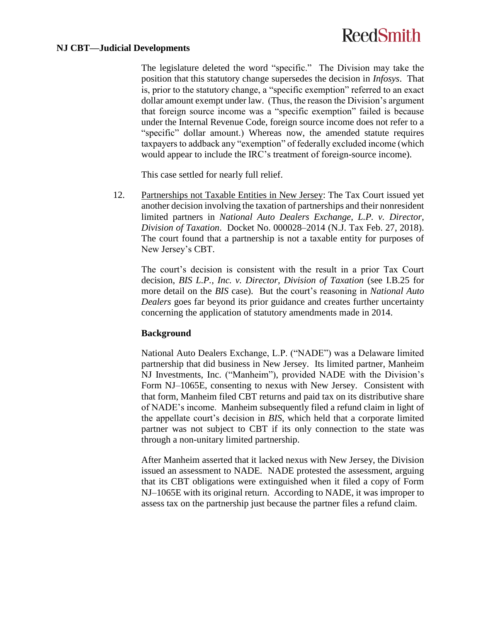#### **NJ CBT—Judicial Developments**

The legislature deleted the word "specific." The Division may take the position that this statutory change supersedes the decision in *Infosys*. That is, prior to the statutory change, a "specific exemption" referred to an exact dollar amount exempt under law. (Thus, the reason the Division's argument that foreign source income was a "specific exemption" failed is because under the Internal Revenue Code, foreign source income does not refer to a "specific" dollar amount.) Whereas now, the amended statute requires taxpayers to addback any "exemption" of federally excluded income (which would appear to include the IRC's treatment of foreign-source income).

This case settled for nearly full relief.

12. Partnerships not Taxable Entities in New Jersey: The Tax Court issued yet another decision involving the taxation of partnerships and their nonresident limited partners in *National Auto Dealers Exchange, L.P. v. Director, Division of Taxation*. Docket No. 000028–2014 (N.J. Tax Feb. 27, 2018). The court found that a partnership is not a taxable entity for purposes of New Jersey's CBT.

The court's decision is consistent with the result in a prior Tax Court decision, *BIS L.P., Inc. v. Director, Division of Taxation* (see [I.B.25](#page-25-0) for more detail on the *BIS* case). But the court's reasoning in *National Auto Dealers* goes far beyond its prior guidance and creates further uncertainty concerning the application of statutory amendments made in 2014.

## **Background**

National Auto Dealers Exchange, L.P. ("NADE") was a Delaware limited partnership that did business in New Jersey. Its limited partner, Manheim NJ Investments, Inc. ("Manheim"), provided NADE with the Division's Form NJ–1065E, consenting to nexus with New Jersey. Consistent with that form, Manheim filed CBT returns and paid tax on its distributive share of NADE's income. Manheim subsequently filed a refund claim in light of the appellate court's decision in *BIS*, which held that a corporate limited partner was not subject to CBT if its only connection to the state was through a non-unitary limited partnership.

After Manheim asserted that it lacked nexus with New Jersey, the Division issued an assessment to NADE. NADE protested the assessment, arguing that its CBT obligations were extinguished when it filed a copy of Form NJ–1065E with its original return. According to NADE, it was improper to assess tax on the partnership just because the partner files a refund claim.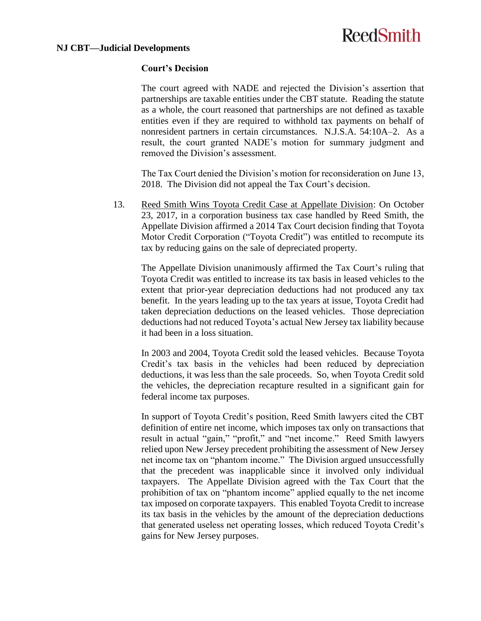### **Court's Decision**

The court agreed with NADE and rejected the Division's assertion that partnerships are taxable entities under the CBT statute. Reading the statute as a whole, the court reasoned that partnerships are not defined as taxable entities even if they are required to withhold tax payments on behalf of nonresident partners in certain circumstances. N.J.S.A. 54:10A–2. As a result, the court granted NADE's motion for summary judgment and removed the Division's assessment.

The Tax Court denied the Division's motion for reconsideration on June 13, 2018. The Division did not appeal the Tax Court's decision.

13. Reed Smith Wins Toyota Credit Case at Appellate Division: On October 23, 2017, in a corporation business tax case handled by Reed Smith, the Appellate Division affirmed a 2014 Tax Court decision finding that Toyota Motor Credit Corporation ("Toyota Credit") was entitled to recompute its tax by reducing gains on the sale of depreciated property.

The Appellate Division unanimously affirmed the Tax Court's ruling that Toyota Credit was entitled to increase its tax basis in leased vehicles to the extent that prior-year depreciation deductions had not produced any tax benefit. In the years leading up to the tax years at issue, Toyota Credit had taken depreciation deductions on the leased vehicles. Those depreciation deductions had not reduced Toyota's actual New Jersey tax liability because it had been in a loss situation.

In 2003 and 2004, Toyota Credit sold the leased vehicles. Because Toyota Credit's tax basis in the vehicles had been reduced by depreciation deductions, it was less than the sale proceeds. So, when Toyota Credit sold the vehicles, the depreciation recapture resulted in a significant gain for federal income tax purposes.

In support of Toyota Credit's position, Reed Smith lawyers cited the CBT definition of entire net income, which imposes tax only on transactions that result in actual "gain," "profit," and "net income." Reed Smith lawyers relied upon New Jersey precedent prohibiting the assessment of New Jersey net income tax on "phantom income." The Division argued unsuccessfully that the precedent was inapplicable since it involved only individual taxpayers. The Appellate Division agreed with the Tax Court that the prohibition of tax on "phantom income" applied equally to the net income tax imposed on corporate taxpayers. This enabled Toyota Credit to increase its tax basis in the vehicles by the amount of the depreciation deductions that generated useless net operating losses, which reduced Toyota Credit's gains for New Jersey purposes.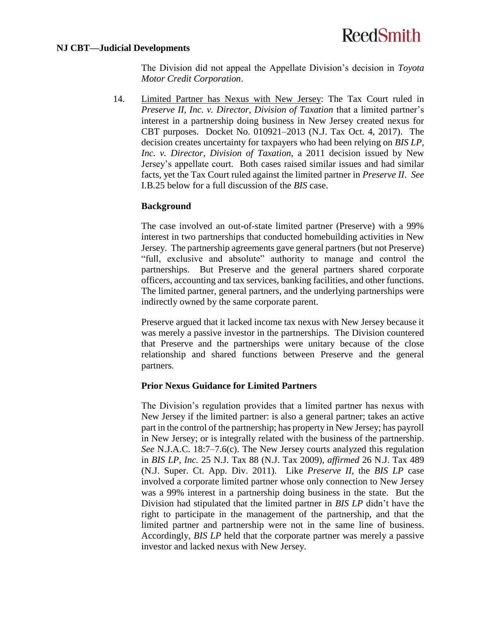#### <span id="page-15-0"></span>**NJ CBT—Judicial Developments**

The Division did not appeal the Appellate Division's decision in *Toyota Motor Credit Corporation*.

14. Limited Partner has Nexus with New Jersey: The Tax Court ruled in *Preserve II, Inc. v. Director, Division of Taxation* that a limited partner's interest in a partnership doing business in New Jersey created nexus for CBT purposes. Docket No. 010921–2013 (N.J. Tax Oct. 4, 2017). The decision creates uncertainty for taxpayers who had been relying on *BIS LP, Inc. v. Director, Division of Taxation*, a 2011 decision issued by New Jersey's appellate court. Both cases raised similar issues and had similar facts, yet the Tax Court ruled against the limited partner in *Preserve II*. *See* [I.B.25](#page-25-0) below for a full discussion of the *BIS* case.

### **Background**

The case involved an out-of-state limited partner (Preserve) with a 99% interest in two partnerships that conducted homebuilding activities in New Jersey. The partnership agreements gave general partners (but not Preserve) "full, exclusive and absolute" authority to manage and control the partnerships. But Preserve and the general partners shared corporate officers, accounting and tax services, banking facilities, and other functions. The limited partner, general partners, and the underlying partnerships were indirectly owned by the same corporate parent.

Preserve argued that it lacked income tax nexus with New Jersey because it was merely a passive investor in the partnerships. The Division countered that Preserve and the partnerships were unitary because of the close relationship and shared functions between Preserve and the general partners.

### **Prior Nexus Guidance for Limited Partners**

The Division's regulation provides that a limited partner has nexus with New Jersey if the limited partner: is also a general partner; takes an active part in the control of the partnership; has property in New Jersey; has payroll in New Jersey; or is integrally related with the business of the partnership. *See* N.J.A.C. 18:7–7.6(c). The New Jersey courts analyzed this regulation in *BIS LP, Inc.* 25 N.J. Tax 88 (N.J. Tax 2009), *affirmed* 26 N.J. Tax 489 (N.J. Super. Ct. App. Div. 2011). Like *Preserve II*, the *BIS LP* case involved a corporate limited partner whose only connection to New Jersey was a 99% interest in a partnership doing business in the state. But the Division had stipulated that the limited partner in *BIS LP* didn't have the right to participate in the management of the partnership, and that the limited partner and partnership were not in the same line of business. Accordingly, *BIS LP* held that the corporate partner was merely a passive investor and lacked nexus with New Jersey.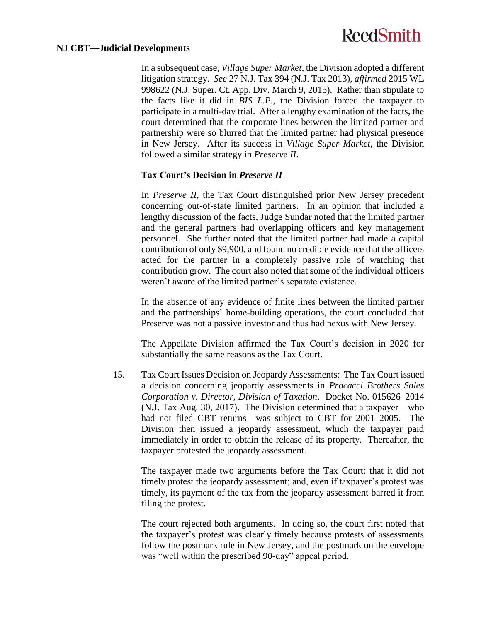#### **NJ CBT—Judicial Developments**

In a subsequent case, *Village Super Market*, the Division adopted a different litigation strategy. *See* 27 N.J. Tax 394 (N.J. Tax 2013), *affirmed* 2015 WL 998622 (N.J. Super. Ct. App. Div. March 9, 2015). Rather than stipulate to the facts like it did in *BIS L.P.*, the Division forced the taxpayer to participate in a multi-day trial. After a lengthy examination of the facts, the court determined that the corporate lines between the limited partner and partnership were so blurred that the limited partner had physical presence in New Jersey. After its success in *Village Super Market*, the Division followed a similar strategy in *Preserve II*.

### **Tax Court's Decision in** *Preserve II*

In *Preserve II*, the Tax Court distinguished prior New Jersey precedent concerning out-of-state limited partners. In an opinion that included a lengthy discussion of the facts, Judge Sundar noted that the limited partner and the general partners had overlapping officers and key management personnel. She further noted that the limited partner had made a capital contribution of only \$9,900, and found no credible evidence that the officers acted for the partner in a completely passive role of watching that contribution grow. The court also noted that some of the individual officers weren't aware of the limited partner's separate existence.

In the absence of any evidence of finite lines between the limited partner and the partnerships' home-building operations, the court concluded that Preserve was not a passive investor and thus had nexus with New Jersey.

The Appellate Division affirmed the Tax Court's decision in 2020 for substantially the same reasons as the Tax Court.

15. Tax Court Issues Decision on Jeopardy Assessments: The Tax Court issued a decision concerning jeopardy assessments in *Procacci Brothers Sales Corporation v. Director, Division of Taxation*. Docket No. 015626–2014 (N.J. Tax Aug. 30, 2017). The Division determined that a taxpayer—who had not filed CBT returns—was subject to CBT for 2001–2005. The Division then issued a jeopardy assessment, which the taxpayer paid immediately in order to obtain the release of its property. Thereafter, the taxpayer protested the jeopardy assessment.

The taxpayer made two arguments before the Tax Court: that it did not timely protest the jeopardy assessment; and, even if taxpayer's protest was timely, its payment of the tax from the jeopardy assessment barred it from filing the protest.

The court rejected both arguments. In doing so, the court first noted that the taxpayer's protest was clearly timely because protests of assessments follow the postmark rule in New Jersey, and the postmark on the envelope was "well within the prescribed 90-day" appeal period.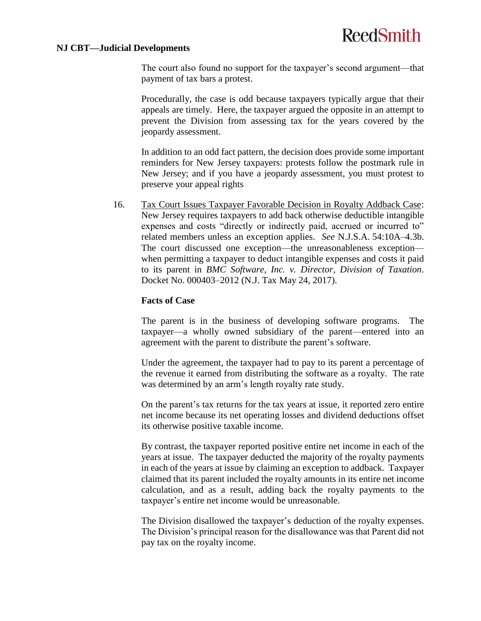#### **NJ CBT—Judicial Developments**

The court also found no support for the taxpayer's second argument—that payment of tax bars a protest.

Procedurally, the case is odd because taxpayers typically argue that their appeals are timely. Here, the taxpayer argued the opposite in an attempt to prevent the Division from assessing tax for the years covered by the jeopardy assessment.

In addition to an odd fact pattern, the decision does provide some important reminders for New Jersey taxpayers: protests follow the postmark rule in New Jersey; and if you have a jeopardy assessment, you must protest to preserve your appeal rights

16. Tax Court Issues Taxpayer Favorable Decision in Royalty Addback Case: New Jersey requires taxpayers to add back otherwise deductible intangible expenses and costs "directly or indirectly paid, accrued or incurred to" related members unless an exception applies. *See* N.J.S.A. 54:10A–4.3b. The court discussed one exception—the unreasonableness exception when permitting a taxpayer to deduct intangible expenses and costs it paid to its parent in *BMC Software, Inc. v. Director, Division of Taxation*. Docket No. 000403–2012 (N.J. Tax May 24, 2017).

### **Facts of Case**

The parent is in the business of developing software programs. The taxpayer—a wholly owned subsidiary of the parent—entered into an agreement with the parent to distribute the parent's software.

Under the agreement, the taxpayer had to pay to its parent a percentage of the revenue it earned from distributing the software as a royalty. The rate was determined by an arm's length royalty rate study.

On the parent's tax returns for the tax years at issue, it reported zero entire net income because its net operating losses and dividend deductions offset its otherwise positive taxable income.

By contrast, the taxpayer reported positive entire net income in each of the years at issue. The taxpayer deducted the majority of the royalty payments in each of the years at issue by claiming an exception to addback. Taxpayer claimed that its parent included the royalty amounts in its entire net income calculation, and as a result, adding back the royalty payments to the taxpayer's entire net income would be unreasonable.

The Division disallowed the taxpayer's deduction of the royalty expenses. The Division's principal reason for the disallowance was that Parent did not pay tax on the royalty income.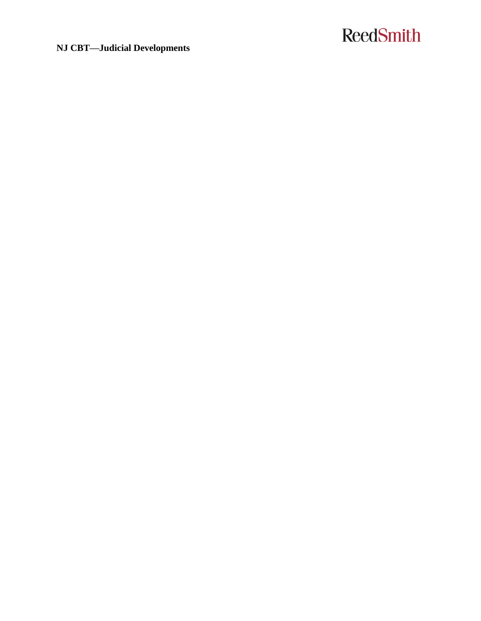**NJ CBT—Judicial Developments**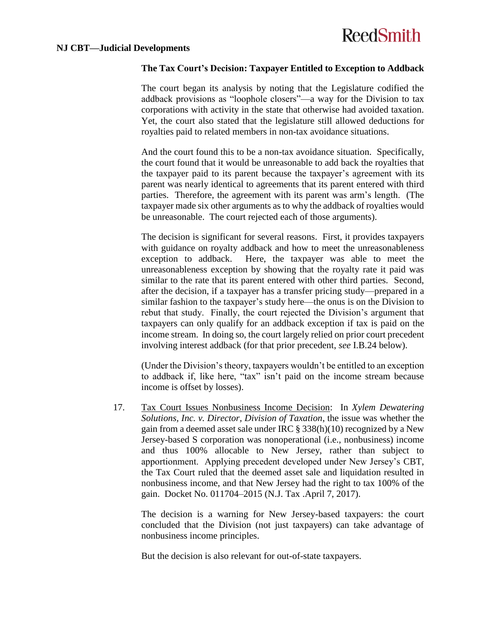### **The Tax Court's Decision: Taxpayer Entitled to Exception to Addback**

The court began its analysis by noting that the Legislature codified the addback provisions as "loophole closers"—a way for the Division to tax corporations with activity in the state that otherwise had avoided taxation. Yet, the court also stated that the legislature still allowed deductions for royalties paid to related members in non-tax avoidance situations.

And the court found this to be a non-tax avoidance situation. Specifically, the court found that it would be unreasonable to add back the royalties that the taxpayer paid to its parent because the taxpayer's agreement with its parent was nearly identical to agreements that its parent entered with third parties. Therefore, the agreement with its parent was arm's length. (The taxpayer made six other arguments as to why the addback of royalties would be unreasonable. The court rejected each of those arguments).

The decision is significant for several reasons. First, it provides taxpayers with guidance on royalty addback and how to meet the unreasonableness exception to addback. Here, the taxpayer was able to meet the unreasonableness exception by showing that the royalty rate it paid was similar to the rate that its parent entered with other third parties. Second, after the decision, if a taxpayer has a transfer pricing study—prepared in a similar fashion to the taxpayer's study here—the onus is on the Division to rebut that study. Finally, the court rejected the Division's argument that taxpayers can only qualify for an addback exception if tax is paid on the income stream. In doing so, the court largely relied on prior court precedent involving interest addback (for that prior precedent, *see* [I.B.24](#page-24-0) below).

(Under the Division's theory, taxpayers wouldn't be entitled to an exception to addback if, like here, "tax" isn't paid on the income stream because income is offset by losses).

17. Tax Court Issues Nonbusiness Income Decision: In *Xylem Dewatering Solutions, Inc. v. Director, Division of Taxation*, the issue was whether the gain from a deemed asset sale under IRC § 338(h)(10) recognized by a New Jersey-based S corporation was nonoperational (i.e., nonbusiness) income and thus 100% allocable to New Jersey, rather than subject to apportionment. Applying precedent developed under New Jersey's CBT, the Tax Court ruled that the deemed asset sale and liquidation resulted in nonbusiness income, and that New Jersey had the right to tax 100% of the gain. Docket No. 011704–2015 (N.J. Tax .April 7, 2017).

The decision is a warning for New Jersey-based taxpayers: the court concluded that the Division (not just taxpayers) can take advantage of nonbusiness income principles.

But the decision is also relevant for out-of-state taxpayers.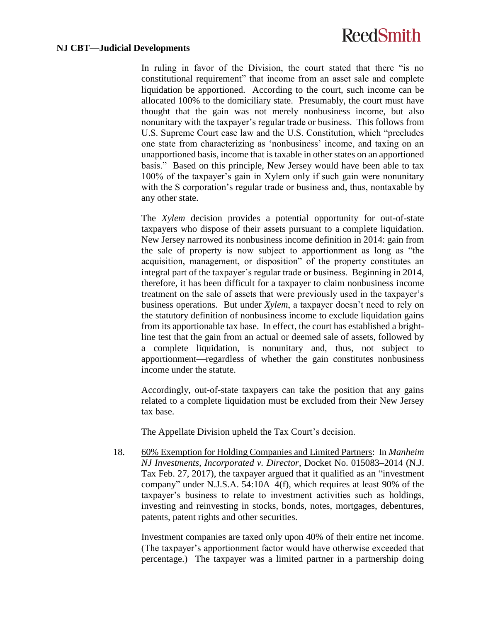#### **NJ CBT—Judicial Developments**

In ruling in favor of the Division, the court stated that there "is no constitutional requirement" that income from an asset sale and complete liquidation be apportioned. According to the court, such income can be allocated 100% to the domiciliary state. Presumably, the court must have thought that the gain was not merely nonbusiness income, but also nonunitary with the taxpayer's regular trade or business. This follows from U.S. Supreme Court case law and the U.S. Constitution, which "precludes one state from characterizing as 'nonbusiness' income, and taxing on an unapportioned basis, income that is taxable in other states on an apportioned basis." Based on this principle, New Jersey would have been able to tax 100% of the taxpayer's gain in Xylem only if such gain were nonunitary with the S corporation's regular trade or business and, thus, nontaxable by any other state.

The *Xylem* decision provides a potential opportunity for out-of-state taxpayers who dispose of their assets pursuant to a complete liquidation. New Jersey narrowed its nonbusiness income definition in 2014: gain from the sale of property is now subject to apportionment as long as "the acquisition, management, or disposition" of the property constitutes an integral part of the taxpayer's regular trade or business. Beginning in 2014, therefore, it has been difficult for a taxpayer to claim nonbusiness income treatment on the sale of assets that were previously used in the taxpayer's business operations. But under *Xylem*, a taxpayer doesn't need to rely on the statutory definition of nonbusiness income to exclude liquidation gains from its apportionable tax base. In effect, the court has established a brightline test that the gain from an actual or deemed sale of assets, followed by a complete liquidation, is nonunitary and, thus, not subject to apportionment—regardless of whether the gain constitutes nonbusiness income under the statute.

Accordingly, out-of-state taxpayers can take the position that any gains related to a complete liquidation must be excluded from their New Jersey tax base.

The Appellate Division upheld the Tax Court's decision.

<span id="page-20-0"></span>18. 60% Exemption for Holding Companies and Limited Partners: In *Manheim NJ Investments, Incorporated v. Director*, Docket No. 015083–2014 (N.J. Tax Feb. 27, 2017), the taxpayer argued that it qualified as an "investment company" under N.J.S.A. 54:10A–4(f), which requires at least 90% of the taxpayer's business to relate to investment activities such as holdings, investing and reinvesting in stocks, bonds, notes, mortgages, debentures, patents, patent rights and other securities.

Investment companies are taxed only upon 40% of their entire net income. (The taxpayer's apportionment factor would have otherwise exceeded that percentage.) The taxpayer was a limited partner in a partnership doing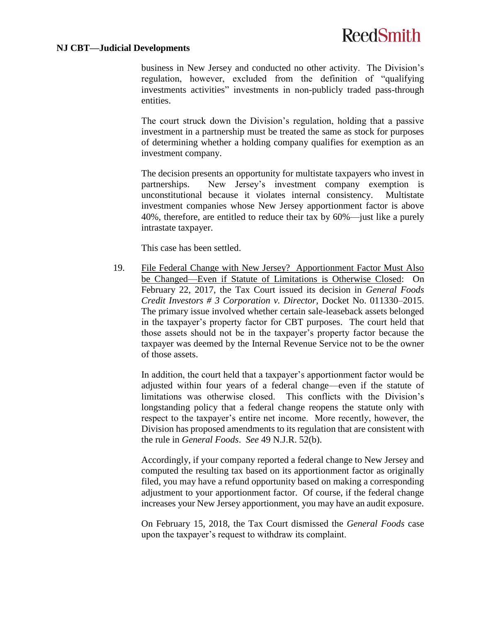#### **NJ CBT—Judicial Developments**

business in New Jersey and conducted no other activity. The Division's regulation, however, excluded from the definition of "qualifying investments activities" investments in non-publicly traded pass-through entities.

The court struck down the Division's regulation, holding that a passive investment in a partnership must be treated the same as stock for purposes of determining whether a holding company qualifies for exemption as an investment company.

The decision presents an opportunity for multistate taxpayers who invest in partnerships. New Jersey's investment company exemption is unconstitutional because it violates internal consistency. Multistate investment companies whose New Jersey apportionment factor is above 40%, therefore, are entitled to reduce their tax by 60%—just like a purely intrastate taxpayer.

This case has been settled.

19. File Federal Change with New Jersey? Apportionment Factor Must Also be Changed—Even if Statute of Limitations is Otherwise Closed: On February 22, 2017, the Tax Court issued its decision in *General Foods Credit Investors # 3 Corporation v. Director*, Docket No. 011330–2015. The primary issue involved whether certain sale-leaseback assets belonged in the taxpayer's property factor for CBT purposes. The court held that those assets should not be in the taxpayer's property factor because the taxpayer was deemed by the Internal Revenue Service not to be the owner of those assets.

In addition, the court held that a taxpayer's apportionment factor would be adjusted within four years of a federal change—even if the statute of limitations was otherwise closed. This conflicts with the Division's longstanding policy that a federal change reopens the statute only with respect to the taxpayer's entire net income. More recently, however, the Division has proposed amendments to its regulation that are consistent with the rule in *General Foods*. *See* 49 N.J.R. 52(b).

Accordingly, if your company reported a federal change to New Jersey and computed the resulting tax based on its apportionment factor as originally filed, you may have a refund opportunity based on making a corresponding adjustment to your apportionment factor. Of course, if the federal change increases your New Jersey apportionment, you may have an audit exposure.

On February 15, 2018, the Tax Court dismissed the *General Foods* case upon the taxpayer's request to withdraw its complaint.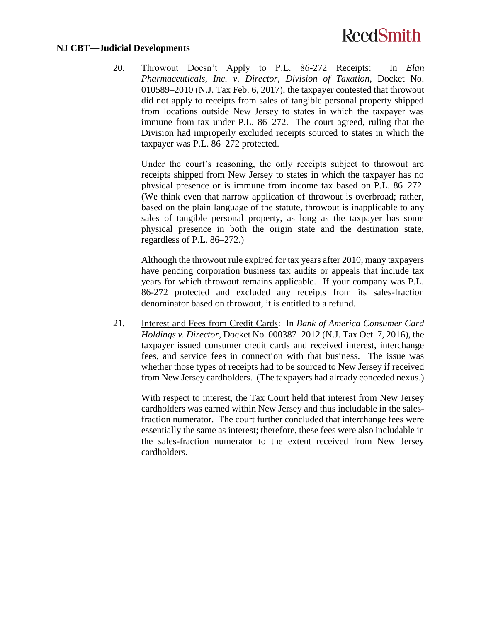#### **NJ CBT—Judicial Developments**

20. Throwout Doesn't Apply to P.L. 86-272 Receipts: In *Elan Pharmaceuticals, Inc. v. Director, Division of Taxation*, Docket No. 010589–2010 (N.J. Tax Feb. 6, 2017), the taxpayer contested that throwout did not apply to receipts from sales of tangible personal property shipped from locations outside New Jersey to states in which the taxpayer was immune from tax under P.L. 86–272. The court agreed, ruling that the Division had improperly excluded receipts sourced to states in which the taxpayer was P.L. 86–272 protected.

Under the court's reasoning, the only receipts subject to throwout are receipts shipped from New Jersey to states in which the taxpayer has no physical presence or is immune from income tax based on P.L. 86–272. (We think even that narrow application of throwout is overbroad; rather, based on the plain language of the statute, throwout is inapplicable to any sales of tangible personal property, as long as the taxpayer has some physical presence in both the origin state and the destination state, regardless of P.L. 86–272.)

Although the throwout rule expired for tax years after 2010, many taxpayers have pending corporation business tax audits or appeals that include tax years for which throwout remains applicable. If your company was P.L. 86-272 protected and excluded any receipts from its sales-fraction denominator based on throwout, it is entitled to a refund.

21. Interest and Fees from Credit Cards: In *Bank of America Consumer Card Holdings v. Director*, Docket No. 000387–2012 (N.J. Tax Oct. 7, 2016), the taxpayer issued consumer credit cards and received interest, interchange fees, and service fees in connection with that business. The issue was whether those types of receipts had to be sourced to New Jersey if received from New Jersey cardholders. (The taxpayers had already conceded nexus.)

With respect to interest, the Tax Court held that interest from New Jersey cardholders was earned within New Jersey and thus includable in the salesfraction numerator. The court further concluded that interchange fees were essentially the same as interest; therefore, these fees were also includable in the sales-fraction numerator to the extent received from New Jersey cardholders.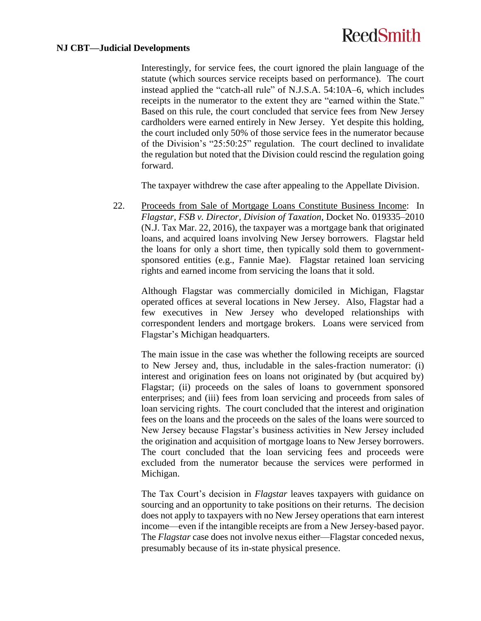#### **NJ CBT—Judicial Developments**

Interestingly, for service fees, the court ignored the plain language of the statute (which sources service receipts based on performance). The court instead applied the "catch-all rule" of N.J.S.A. 54:10A–6, which includes receipts in the numerator to the extent they are "earned within the State." Based on this rule, the court concluded that service fees from New Jersey cardholders were earned entirely in New Jersey. Yet despite this holding, the court included only 50% of those service fees in the numerator because of the Division's "25:50:25" regulation. The court declined to invalidate the regulation but noted that the Division could rescind the regulation going forward.

The taxpayer withdrew the case after appealing to the Appellate Division.

22. Proceeds from Sale of Mortgage Loans Constitute Business Income: In *Flagstar, FSB v. Director, Division of Taxation*, Docket No. 019335–2010 (N.J. Tax Mar. 22, 2016), the taxpayer was a mortgage bank that originated loans, and acquired loans involving New Jersey borrowers. Flagstar held the loans for only a short time, then typically sold them to governmentsponsored entities (e.g., Fannie Mae). Flagstar retained loan servicing rights and earned income from servicing the loans that it sold.

Although Flagstar was commercially domiciled in Michigan, Flagstar operated offices at several locations in New Jersey. Also, Flagstar had a few executives in New Jersey who developed relationships with correspondent lenders and mortgage brokers. Loans were serviced from Flagstar's Michigan headquarters.

The main issue in the case was whether the following receipts are sourced to New Jersey and, thus, includable in the sales-fraction numerator: (i) interest and origination fees on loans not originated by (but acquired by) Flagstar; (ii) proceeds on the sales of loans to government sponsored enterprises; and (iii) fees from loan servicing and proceeds from sales of loan servicing rights. The court concluded that the interest and origination fees on the loans and the proceeds on the sales of the loans were sourced to New Jersey because Flagstar's business activities in New Jersey included the origination and acquisition of mortgage loans to New Jersey borrowers. The court concluded that the loan servicing fees and proceeds were excluded from the numerator because the services were performed in Michigan.

The Tax Court's decision in *Flagstar* leaves taxpayers with guidance on sourcing and an opportunity to take positions on their returns. The decision does not apply to taxpayers with no New Jersey operations that earn interest income—even if the intangible receipts are from a New Jersey-based payor. The *Flagstar* case does not involve nexus either—Flagstar conceded nexus, presumably because of its in-state physical presence.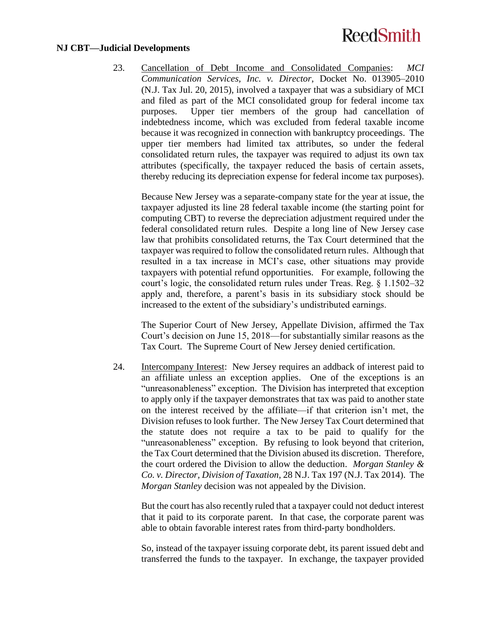#### **NJ CBT—Judicial Developments**

23. Cancellation of Debt Income and Consolidated Companies: *MCI Communication Services, Inc. v. Director*, Docket No. 013905–2010 (N.J. Tax Jul. 20, 2015), involved a taxpayer that was a subsidiary of MCI and filed as part of the MCI consolidated group for federal income tax purposes. Upper tier members of the group had cancellation of indebtedness income, which was excluded from federal taxable income because it was recognized in connection with bankruptcy proceedings. The upper tier members had limited tax attributes, so under the federal consolidated return rules, the taxpayer was required to adjust its own tax attributes (specifically, the taxpayer reduced the basis of certain assets, thereby reducing its depreciation expense for federal income tax purposes).

Because New Jersey was a separate-company state for the year at issue, the taxpayer adjusted its line 28 federal taxable income (the starting point for computing CBT) to reverse the depreciation adjustment required under the federal consolidated return rules. Despite a long line of New Jersey case law that prohibits consolidated returns, the Tax Court determined that the taxpayer was required to follow the consolidated return rules. Although that resulted in a tax increase in MCI's case, other situations may provide taxpayers with potential refund opportunities. For example, following the court's logic, the consolidated return rules under Treas. Reg. § 1.1502–32 apply and, therefore, a parent's basis in its subsidiary stock should be increased to the extent of the subsidiary's undistributed earnings.

The Superior Court of New Jersey, Appellate Division, affirmed the Tax Court's decision on June 15, 2018—for substantially similar reasons as the Tax Court. The Supreme Court of New Jersey denied certification.

<span id="page-24-0"></span>24. Intercompany Interest: New Jersey requires an addback of interest paid to an affiliate unless an exception applies. One of the exceptions is an "unreasonableness" exception. The Division has interpreted that exception to apply only if the taxpayer demonstrates that tax was paid to another state on the interest received by the affiliate—if that criterion isn't met, the Division refuses to look further. The New Jersey Tax Court determined that the statute does not require a tax to be paid to qualify for the "unreasonableness" exception. By refusing to look beyond that criterion, the Tax Court determined that the Division abused its discretion. Therefore, the court ordered the Division to allow the deduction. *Morgan Stanley & Co. v. Director, Division of Taxation*, 28 N.J. Tax 197 (N.J. Tax 2014). The *Morgan Stanley* decision was not appealed by the Division.

But the court has also recently ruled that a taxpayer could not deduct interest that it paid to its corporate parent. In that case, the corporate parent was able to obtain favorable interest rates from third-party bondholders.

So, instead of the taxpayer issuing corporate debt, its parent issued debt and transferred the funds to the taxpayer. In exchange, the taxpayer provided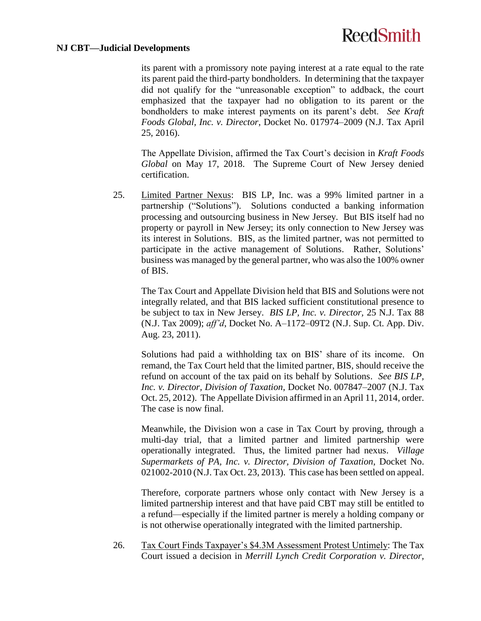#### **NJ CBT—Judicial Developments**

its parent with a promissory note paying interest at a rate equal to the rate its parent paid the third-party bondholders. In determining that the taxpayer did not qualify for the "unreasonable exception" to addback, the court emphasized that the taxpayer had no obligation to its parent or the bondholders to make interest payments on its parent's debt. *See Kraft Foods Global, Inc. v. Director*, Docket No. 017974–2009 (N.J. Tax April 25, 2016).

The Appellate Division, affirmed the Tax Court's decision in *Kraft Foods Global* on May 17, 2018. The Supreme Court of New Jersey denied certification.

<span id="page-25-0"></span>25. Limited Partner Nexus: BIS LP, Inc. was a 99% limited partner in a partnership ("Solutions"). Solutions conducted a banking information processing and outsourcing business in New Jersey. But BIS itself had no property or payroll in New Jersey; its only connection to New Jersey was its interest in Solutions. BIS, as the limited partner, was not permitted to participate in the active management of Solutions. Rather, Solutions' business was managed by the general partner, who was also the 100% owner of BIS.

The Tax Court and Appellate Division held that BIS and Solutions were not integrally related, and that BIS lacked sufficient constitutional presence to be subject to tax in New Jersey. *BIS LP, Inc. v. Director,* 25 N.J. Tax 88 (N.J. Tax 2009); *aff'd*, Docket No. A–1172–09T2 (N.J. Sup. Ct. App. Div. Aug. 23, 2011).

Solutions had paid a withholding tax on BIS' share of its income. On remand, the Tax Court held that the limited partner, BIS, should receive the refund on account of the tax paid on its behalf by Solutions. *See BIS LP, Inc. v. Director, Division of Taxation*, Docket No. 007847–2007 (N.J. Tax Oct. 25, 2012). The Appellate Division affirmed in an April 11, 2014, order. The case is now final.

Meanwhile, the Division won a case in Tax Court by proving, through a multi-day trial, that a limited partner and limited partnership were operationally integrated. Thus, the limited partner had nexus. *Village Supermarkets of PA, Inc. v. Director, Division of Taxation*, Docket No. 021002-2010 (N.J. Tax Oct. 23, 2013). This case has been settled on appeal.

Therefore, corporate partners whose only contact with New Jersey is a limited partnership interest and that have paid CBT may still be entitled to a refund—especially if the limited partner is merely a holding company or is not otherwise operationally integrated with the limited partnership.

26. Tax Court Finds Taxpayer's \$4.3M Assessment Protest Untimely: The Tax Court issued a decision in *Merrill Lynch Credit Corporation v. Director,*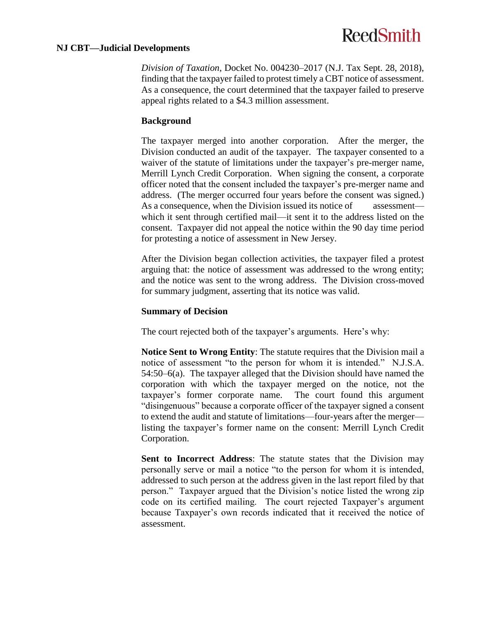#### **NJ CBT—Judicial Developments**

*Division of Taxation*, Docket No. 004230–2017 (N.J. Tax Sept. 28, 2018), finding that the taxpayer failed to protest timely a CBT notice of assessment. As a consequence, the court determined that the taxpayer failed to preserve appeal rights related to a \$4.3 million assessment.

### **Background**

The taxpayer merged into another corporation. After the merger, the Division conducted an audit of the taxpayer. The taxpayer consented to a waiver of the statute of limitations under the taxpayer's pre-merger name, Merrill Lynch Credit Corporation. When signing the consent, a corporate officer noted that the consent included the taxpayer's pre-merger name and address. (The merger occurred four years before the consent was signed.) As a consequence, when the Division issued its notice of assessment which it sent through certified mail—it sent it to the address listed on the consent. Taxpayer did not appeal the notice within the 90 day time period for protesting a notice of assessment in New Jersey.

After the Division began collection activities, the taxpayer filed a protest arguing that: the notice of assessment was addressed to the wrong entity; and the notice was sent to the wrong address. The Division cross-moved for summary judgment, asserting that its notice was valid.

#### **Summary of Decision**

The court rejected both of the taxpayer's arguments. Here's why:

**Notice Sent to Wrong Entity**: The statute requires that the Division mail a notice of assessment "to the person for whom it is intended." N.J.S.A. 54:50–6(a). The taxpayer alleged that the Division should have named the corporation with which the taxpayer merged on the notice, not the taxpayer's former corporate name. The court found this argument "disingenuous" because a corporate officer of the taxpayer signed a consent to extend the audit and statute of limitations—four-years after the merger listing the taxpayer's former name on the consent: Merrill Lynch Credit Corporation.

**Sent to Incorrect Address**: The statute states that the Division may personally serve or mail a notice "to the person for whom it is intended, addressed to such person at the address given in the last report filed by that person." Taxpayer argued that the Division's notice listed the wrong zip code on its certified mailing. The court rejected Taxpayer's argument because Taxpayer's own records indicated that it received the notice of assessment.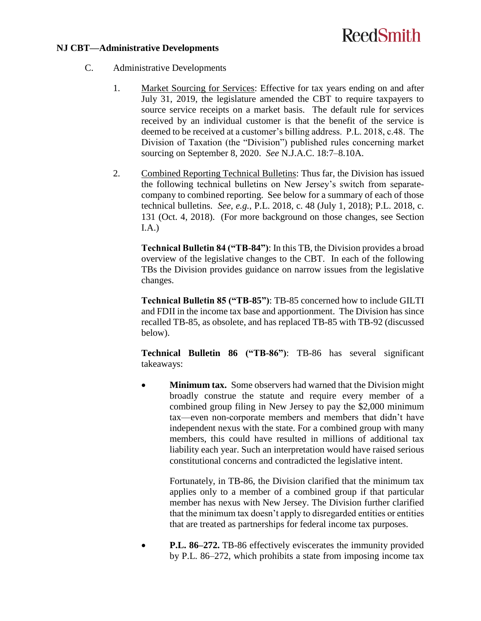#### **NJ CBT—Administrative Developments**

- C. Administrative Developments
	- 1. Market Sourcing for Services: Effective for tax years ending on and after July 31, 2019, the legislature amended the CBT to require taxpayers to source service receipts on a market basis. The default rule for services received by an individual customer is that the benefit of the service is deemed to be received at a customer's billing address. P.L. 2018, c.48. The Division of Taxation (the "Division") published rules concerning market sourcing on September 8, 2020. *See* N.J.A.C. 18:7–8.10A.
	- 2. Combined Reporting Technical Bulletins: Thus far, the Division has issued the following technical bulletins on New Jersey's switch from separatecompany to combined reporting. See below for a summary of each of those technical bulletins. *See, e.g.*, P.L. 2018, c. 48 (July 1, 2018); P.L. 2018, c. 131 (Oct. 4, 2018). (For more background on those changes, see Section [I.A.](#page-0-0))

**Technical Bulletin 84 ("TB-84")**: In this TB, the Division provides a broad overview of the legislative changes to the CBT. In each of the following TBs the Division provides guidance on narrow issues from the legislative changes.

**Technical Bulletin 85 ("TB-85")**: TB-85 concerned how to include GILTI and FDII in the income tax base and apportionment. The Division has since recalled TB-85, as obsolete, and has replaced TB-85 with TB-92 (discussed below).

**Technical Bulletin 86 ("TB-86")**: TB-86 has several significant takeaways:

 **Minimum tax.** Some observers had warned that the Division might broadly construe the statute and require every member of a combined group filing in New Jersey to pay the \$2,000 minimum tax—even non-corporate members and members that didn't have independent nexus with the state. For a combined group with many members, this could have resulted in millions of additional tax liability each year. Such an interpretation would have raised serious constitutional concerns and contradicted the legislative intent.

Fortunately, in TB-86, the Division clarified that the minimum tax applies only to a member of a combined group if that particular member has nexus with New Jersey. The Division further clarified that the minimum tax doesn't apply to disregarded entities or entities that are treated as partnerships for federal income tax purposes.

• **P.L. 86–272.** TB-86 effectively eviscerates the immunity provided by P.L. 86–272, which prohibits a state from imposing income tax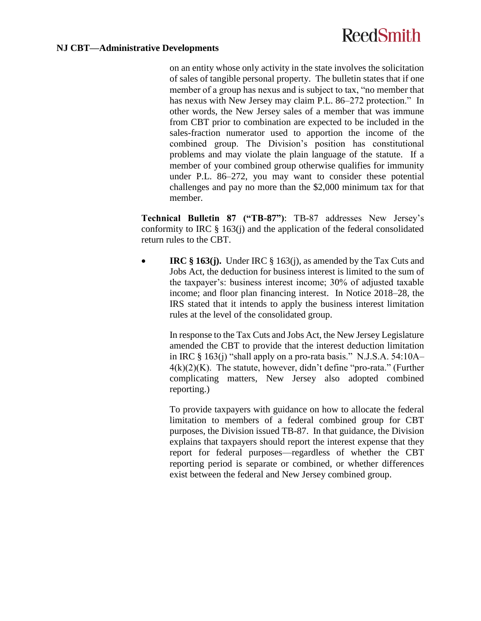on an entity whose only activity in the state involves the solicitation of sales of tangible personal property. The bulletin states that if one member of a group has nexus and is subject to tax, "no member that has nexus with New Jersey may claim P.L. 86–272 protection." In other words, the New Jersey sales of a member that was immune from CBT prior to combination are expected to be included in the sales-fraction numerator used to apportion the income of the combined group. The Division's position has constitutional problems and may violate the plain language of the statute. If a member of your combined group otherwise qualifies for immunity under P.L. 86–272, you may want to consider these potential challenges and pay no more than the \$2,000 minimum tax for that member.

**Technical Bulletin 87 ("TB-87")**: TB-87 addresses New Jersey's conformity to IRC  $\S$  163(j) and the application of the federal consolidated return rules to the CBT.

 **IRC § 163(j).** Under IRC § 163(j), as amended by the Tax Cuts and Jobs Act, the deduction for business interest is limited to the sum of the taxpayer's: business interest income; 30% of adjusted taxable income; and floor plan financing interest. In Notice 2018–28, the IRS stated that it intends to apply the business interest limitation rules at the level of the consolidated group.

In response to the Tax Cuts and Jobs Act, the New Jersey Legislature amended the CBT to provide that the interest deduction limitation in IRC  $\S$  163(j) "shall apply on a pro-rata basis." N.J.S.A. 54:10A- $4(k)(2)(K)$ . The statute, however, didn't define "pro-rata." (Further complicating matters, New Jersey also adopted combined reporting.)

To provide taxpayers with guidance on how to allocate the federal limitation to members of a federal combined group for CBT purposes, the Division issued TB-87. In that guidance, the Division explains that taxpayers should report the interest expense that they report for federal purposes—regardless of whether the CBT reporting period is separate or combined, or whether differences exist between the federal and New Jersey combined group.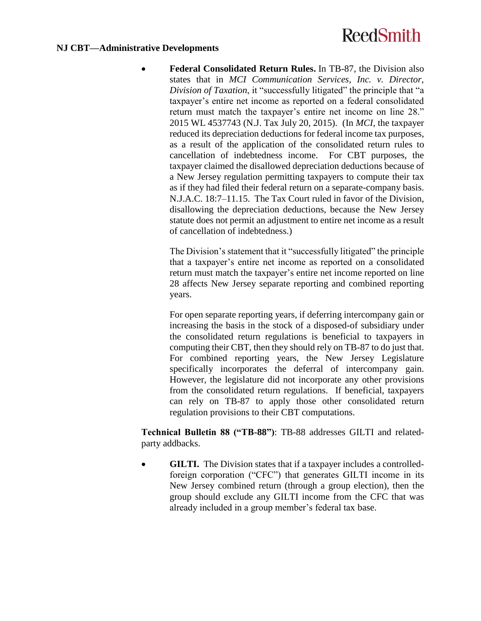#### **NJ CBT—Administrative Developments**

 **Federal Consolidated Return Rules.** In TB-87, the Division also states that in *MCI Communication Services, Inc. v. Director, Division of Taxation*, it "successfully litigated" the principle that "a taxpayer's entire net income as reported on a federal consolidated return must match the taxpayer's entire net income on line 28." 2015 WL 4537743 (N.J. Tax July 20, 2015). (In *MCI*, the taxpayer reduced its depreciation deductions for federal income tax purposes, as a result of the application of the consolidated return rules to cancellation of indebtedness income. For CBT purposes, the taxpayer claimed the disallowed depreciation deductions because of a New Jersey regulation permitting taxpayers to compute their tax as if they had filed their federal return on a separate-company basis. N.J.A.C. 18:7–11.15. The Tax Court ruled in favor of the Division, disallowing the depreciation deductions, because the New Jersey statute does not permit an adjustment to entire net income as a result of cancellation of indebtedness.)

The Division's statement that it "successfully litigated" the principle that a taxpayer's entire net income as reported on a consolidated return must match the taxpayer's entire net income reported on line 28 affects New Jersey separate reporting and combined reporting years.

For open separate reporting years, if deferring intercompany gain or increasing the basis in the stock of a disposed-of subsidiary under the consolidated return regulations is beneficial to taxpayers in computing their CBT, then they should rely on TB-87 to do just that. For combined reporting years, the New Jersey Legislature specifically incorporates the deferral of intercompany gain. However, the legislature did not incorporate any other provisions from the consolidated return regulations. If beneficial, taxpayers can rely on TB-87 to apply those other consolidated return regulation provisions to their CBT computations.

**Technical Bulletin 88 ("TB-88")**: TB-88 addresses GILTI and relatedparty addbacks.

• **GILTI.** The Division states that if a taxpayer includes a controlledforeign corporation ("CFC") that generates GILTI income in its New Jersey combined return (through a group election), then the group should exclude any GILTI income from the CFC that was already included in a group member's federal tax base.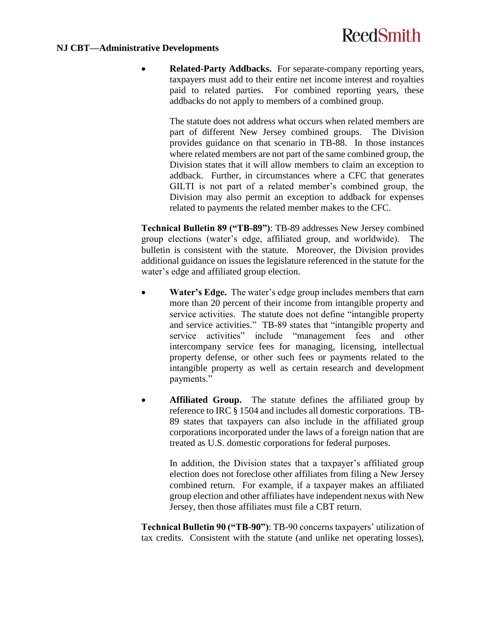#### **NJ CBT—Administrative Developments**

 **Related-Party Addbacks.** For separate-company reporting years, taxpayers must add to their entire net income interest and royalties paid to related parties. For combined reporting years, these addbacks do not apply to members of a combined group.

The statute does not address what occurs when related members are part of different New Jersey combined groups. The Division provides guidance on that scenario in TB-88. In those instances where related members are not part of the same combined group, the Division states that it will allow members to claim an exception to addback. Further, in circumstances where a CFC that generates GILTI is not part of a related member's combined group, the Division may also permit an exception to addback for expenses related to payments the related member makes to the CFC.

**Technical Bulletin 89 ("TB-89")**: TB-89 addresses New Jersey combined group elections (water's edge, affiliated group, and worldwide). The bulletin is consistent with the statute. Moreover, the Division provides additional guidance on issues the legislature referenced in the statute for the water's edge and affiliated group election.

- **Water's Edge.** The water's edge group includes members that earn more than 20 percent of their income from intangible property and service activities. The statute does not define "intangible property and service activities." TB-89 states that "intangible property and service activities" include "management fees and other intercompany service fees for managing, licensing, intellectual property defense, or other such fees or payments related to the intangible property as well as certain research and development payments."
- **Affiliated Group.** The statute defines the affiliated group by reference to IRC § 1504 and includes all domestic corporations. TB-89 states that taxpayers can also include in the affiliated group corporations incorporated under the laws of a foreign nation that are treated as U.S. domestic corporations for federal purposes.

In addition, the Division states that a taxpayer's affiliated group election does not foreclose other affiliates from filing a New Jersey combined return. For example, if a taxpayer makes an affiliated group election and other affiliates have independent nexus with New Jersey, then those affiliates must file a CBT return.

**Technical Bulletin 90 ("TB-90")**: TB-90 concerns taxpayers' utilization of tax credits. Consistent with the statute (and unlike net operating losses),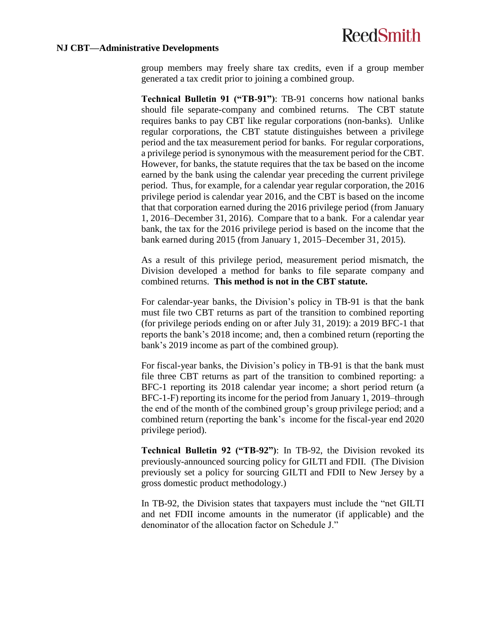#### **NJ CBT—Administrative Developments**

group members may freely share tax credits, even if a group member generated a tax credit prior to joining a combined group.

**Technical Bulletin 91 ("TB-91")**: TB-91 concerns how national banks should file separate-company and combined returns. The CBT statute requires banks to pay CBT like regular corporations (non-banks). Unlike regular corporations, the CBT statute distinguishes between a privilege period and the tax measurement period for banks. For regular corporations, a privilege period is synonymous with the measurement period for the CBT. However, for banks, the statute requires that the tax be based on the income earned by the bank using the calendar year preceding the current privilege period. Thus, for example, for a calendar year regular corporation, the 2016 privilege period is calendar year 2016, and the CBT is based on the income that that corporation earned during the 2016 privilege period (from January 1, 2016–December 31, 2016). Compare that to a bank. For a calendar year bank, the tax for the 2016 privilege period is based on the income that the bank earned during 2015 (from January 1, 2015–December 31, 2015).

As a result of this privilege period, measurement period mismatch, the Division developed a method for banks to file separate company and combined returns. **This method is not in the CBT statute.**

For calendar-year banks, the Division's policy in TB-91 is that the bank must file two CBT returns as part of the transition to combined reporting (for privilege periods ending on or after July 31, 2019): a 2019 BFC-1 that reports the bank's 2018 income; and, then a combined return (reporting the bank's 2019 income as part of the combined group).

For fiscal-year banks, the Division's policy in TB-91 is that the bank must file three CBT returns as part of the transition to combined reporting: a BFC-1 reporting its 2018 calendar year income; a short period return (a BFC-1-F) reporting its income for the period from January 1, 2019–through the end of the month of the combined group's group privilege period; and a combined return (reporting the bank's income for the fiscal-year end 2020 privilege period).

**Technical Bulletin 92 ("TB-92")**: In TB-92, the Division revoked its previously-announced sourcing policy for GILTI and FDII. (The Division previously set a policy for sourcing GILTI and FDII to New Jersey by a gross domestic product methodology.)

In TB-92, the Division states that taxpayers must include the "net GILTI and net FDII income amounts in the numerator (if applicable) and the denominator of the allocation factor on Schedule J."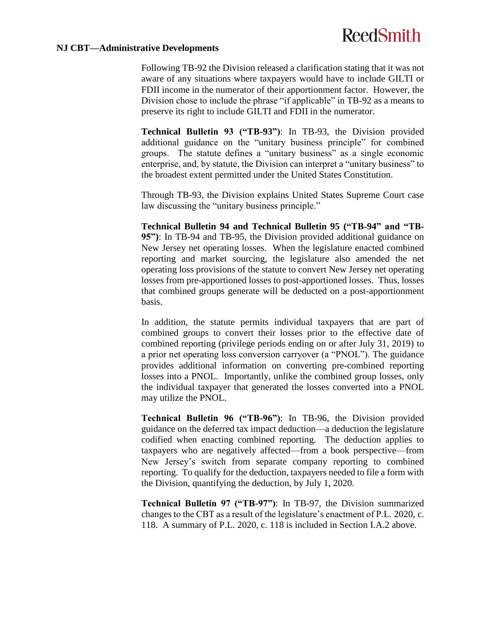#### **NJ CBT—Administrative Developments**

Following TB-92 the Division released a clarification stating that it was not aware of any situations where taxpayers would have to include GILTI or FDII income in the numerator of their apportionment factor. However, the Division chose to include the phrase "if applicable" in TB-92 as a means to preserve its right to include GILTI and FDII in the numerator.

**Technical Bulletin 93 ("TB-93")**: In TB-93, the Division provided additional guidance on the "unitary business principle" for combined groups. The statute defines a "unitary business" as a single economic enterprise, and, by statute, the Division can interpret a "unitary business" to the broadest extent permitted under the United States Constitution.

Through TB-93, the Division explains United States Supreme Court case law discussing the "unitary business principle."

**Technical Bulletin 94 and Technical Bulletin 95 ("TB-94" and "TB-95")**: In TB-94 and TB-95, the Division provided additional guidance on New Jersey net operating losses. When the legislature enacted combined reporting and market sourcing, the legislature also amended the net operating loss provisions of the statute to convert New Jersey net operating losses from pre-apportioned losses to post-apportioned losses. Thus, losses that combined groups generate will be deducted on a post-apportionment basis.

In addition, the statute permits individual taxpayers that are part of combined groups to convert their losses prior to the effective date of combined reporting (privilege periods ending on or after July 31, 2019) to a prior net operating loss conversion carryover (a "PNOL"). The guidance provides additional information on converting pre-combined reporting losses into a PNOL. Importantly, unlike the combined group losses, only the individual taxpayer that generated the losses converted into a PNOL may utilize the PNOL.

**Technical Bulletin 96 ("TB-96")**: In TB-96, the Division provided guidance on the deferred tax impact deduction—a deduction the legislature codified when enacting combined reporting. The deduction applies to taxpayers who are negatively affected—from a book perspective—from New Jersey's switch from separate company reporting to combined reporting. To qualify for the deduction, taxpayers needed to file a form with the Division, quantifying the deduction, by July 1, 2020.

**Technical Bulletin 97 ("TB-97")**: In TB-97, the Division summarized changes to the CBT as a result of the legislature's enactment of P.L. 2020, c. 118. A summary of P.L. 2020, c. 118 is included in Section [I.A.2](#page-0-1) above.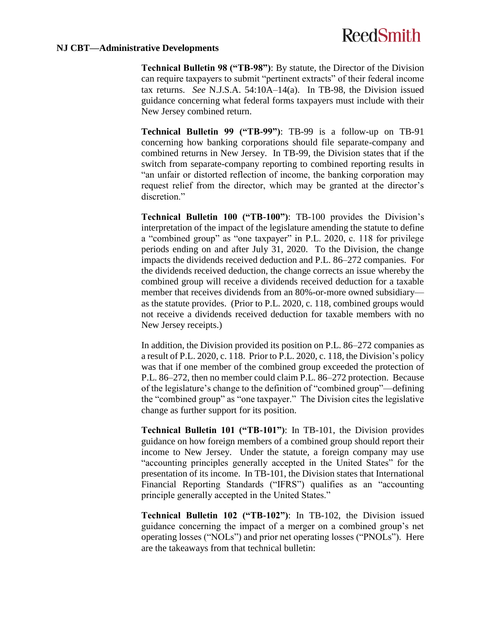#### **NJ CBT—Administrative Developments**

**Technical Bulletin 98 ("TB-98")**: By statute, the Director of the Division can require taxpayers to submit "pertinent extracts" of their federal income tax returns. *See* N.J.S.A. 54:10A–14(a). In TB-98, the Division issued guidance concerning what federal forms taxpayers must include with their New Jersey combined return.

**Technical Bulletin 99 ("TB-99")**: TB-99 is a follow-up on TB-91 concerning how banking corporations should file separate-company and combined returns in New Jersey. In TB-99, the Division states that if the switch from separate-company reporting to combined reporting results in "an unfair or distorted reflection of income, the banking corporation may request relief from the director, which may be granted at the director's discretion."

**Technical Bulletin 100 ("TB-100")**: TB-100 provides the Division's interpretation of the impact of the legislature amending the statute to define a "combined group" as "one taxpayer" in P.L. 2020, c. 118 for privilege periods ending on and after July 31, 2020. To the Division, the change impacts the dividends received deduction and P.L. 86–272 companies. For the dividends received deduction, the change corrects an issue whereby the combined group will receive a dividends received deduction for a taxable member that receives dividends from an 80%-or-more owned subsidiary as the statute provides. (Prior to P.L. 2020, c. 118, combined groups would not receive a dividends received deduction for taxable members with no New Jersey receipts.)

In addition, the Division provided its position on P.L. 86–272 companies as a result of P.L. 2020, c. 118. Prior to P.L. 2020, c. 118, the Division's policy was that if one member of the combined group exceeded the protection of P.L. 86–272, then no member could claim P.L. 86–272 protection. Because of the legislature's change to the definition of "combined group"—defining the "combined group" as "one taxpayer." The Division cites the legislative change as further support for its position.

**Technical Bulletin 101 ("TB-101")**: In TB-101, the Division provides guidance on how foreign members of a combined group should report their income to New Jersey. Under the statute, a foreign company may use "accounting principles generally accepted in the United States" for the presentation of its income. In TB-101, the Division states that International Financial Reporting Standards ("IFRS") qualifies as an "accounting principle generally accepted in the United States."

**Technical Bulletin 102 ("TB-102")**: In TB-102, the Division issued guidance concerning the impact of a merger on a combined group's net operating losses ("NOLs") and prior net operating losses ("PNOLs"). Here are the takeaways from that technical bulletin: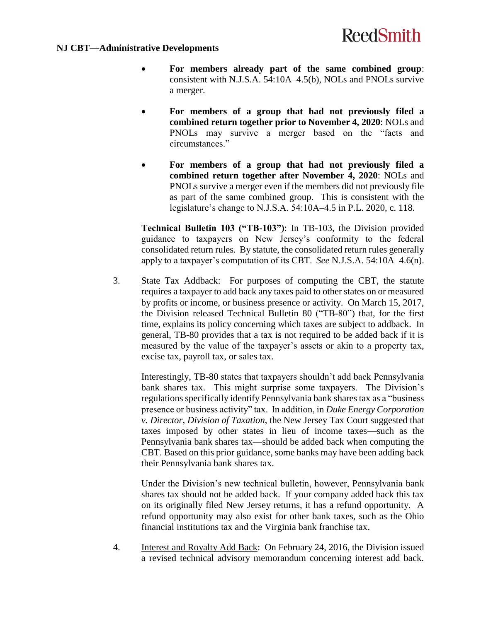#### **NJ CBT—Administrative Developments**

- **For members already part of the same combined group**: consistent with N.J.S.A. 54:10A–4.5(b), NOLs and PNOLs survive a merger.
- **For members of a group that had not previously filed a combined return together prior to November 4, 2020**: NOLs and PNOLs may survive a merger based on the "facts and circumstances."
- **For members of a group that had not previously filed a combined return together after November 4, 2020**: NOLs and PNOLs survive a merger even if the members did not previously file as part of the same combined group. This is consistent with the legislature's change to N.J.S.A. 54:10A–4.5 in P.L. 2020, c. 118.

**Technical Bulletin 103 ("TB-103")**: In TB-103, the Division provided guidance to taxpayers on New Jersey's conformity to the federal consolidated return rules. By statute, the consolidated return rules generally apply to a taxpayer's computation of its CBT. *See* N.J.S.A. 54:10A–4.6(n).

3. State Tax Addback: For purposes of computing the CBT, the statute requires a taxpayer to add back any taxes paid to other states on or measured by profits or income, or business presence or activity. On March 15, 2017, the Division released Technical Bulletin 80 ("TB-80") that, for the first time, explains its policy concerning which taxes are subject to addback. In general, TB-80 provides that a tax is not required to be added back if it is measured by the value of the taxpayer's assets or akin to a property tax, excise tax, payroll tax, or sales tax.

Interestingly, TB-80 states that taxpayers shouldn't add back Pennsylvania bank shares tax. This might surprise some taxpayers. The Division's regulations specifically identify Pennsylvania bank shares tax as a "business presence or business activity" tax. In addition, in *Duke Energy Corporation v. Director, Division of Taxation*, the New Jersey Tax Court suggested that taxes imposed by other states in lieu of income taxes—such as the Pennsylvania bank shares tax—should be added back when computing the CBT. Based on this prior guidance, some banks may have been adding back their Pennsylvania bank shares tax.

Under the Division's new technical bulletin, however, Pennsylvania bank shares tax should not be added back. If your company added back this tax on its originally filed New Jersey returns, it has a refund opportunity. A refund opportunity may also exist for other bank taxes, such as the Ohio financial institutions tax and the Virginia bank franchise tax.

4. Interest and Royalty Add Back: On February 24, 2016, the Division issued a revised technical advisory memorandum concerning interest add back.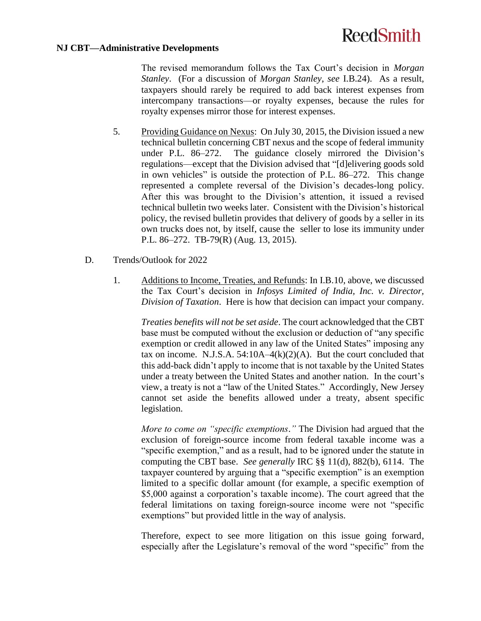#### **NJ CBT—Administrative Developments**

The revised memorandum follows the Tax Court's decision in *Morgan Stanley*. (For a discussion of *Morgan Stanley*, *see* [I.B.24\)](#page-24-0). As a result, taxpayers should rarely be required to add back interest expenses from intercompany transactions—or royalty expenses, because the rules for royalty expenses mirror those for interest expenses.

- 5. Providing Guidance on Nexus: On July 30, 2015, the Division issued a new technical bulletin concerning CBT nexus and the scope of federal immunity under P.L. 86–272. The guidance closely mirrored the Division's regulations—except that the Division advised that "[d]elivering goods sold in own vehicles" is outside the protection of P.L. 86–272. This change represented a complete reversal of the Division's decades-long policy. After this was brought to the Division's attention, it issued a revised technical bulletin two weeks later. Consistent with the Division's historical policy, the revised bulletin provides that delivery of goods by a seller in its own trucks does not, by itself, cause the seller to lose its immunity under P.L. 86–272. TB-79(R) (Aug. 13, 2015).
- D. Trends/Outlook for 2022
	- 1. Additions to Income, Treaties, and Refunds: In [I.B.10](#page-2-0), above, we discussed the Tax Court's decision in *Infosys Limited of India, Inc. v. Director, Division of Taxation*. Here is how that decision can impact your company.

*Treaties benefits will not be set aside*. The court acknowledged that the CBT base must be computed without the exclusion or deduction of "any specific exemption or credit allowed in any law of the United States" imposing any tax on income. N.J.S.A.  $54:10A-4(k)(2)(A)$ . But the court concluded that this add-back didn't apply to income that is not taxable by the United States under a treaty between the United States and another nation. In the court's view, a treaty is not a "law of the United States." Accordingly, New Jersey cannot set aside the benefits allowed under a treaty, absent specific legislation.

*More to come on "specific exemptions*.*"* The Division had argued that the exclusion of foreign-source income from federal taxable income was a "specific exemption," and as a result, had to be ignored under the statute in computing the CBT base. *See generally* IRC §§ 11(d), 882(b), 6114. The taxpayer countered by arguing that a "specific exemption" is an exemption limited to a specific dollar amount (for example, a specific exemption of \$5,000 against a corporation's taxable income). The court agreed that the federal limitations on taxing foreign-source income were not "specific exemptions" but provided little in the way of analysis.

Therefore, expect to see more litigation on this issue going forward, especially after the Legislature's removal of the word "specific" from the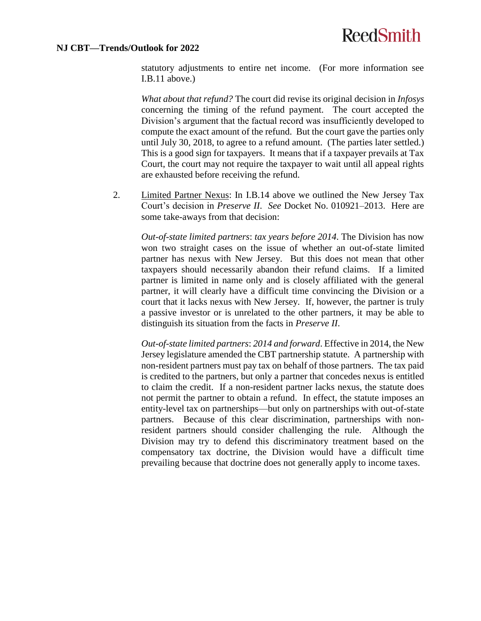#### **NJ CBT—Trends/Outlook for 2022**

statutory adjustments to entire net income. (For more information see [I.B.11](#page-12-0) above.)

*What about that refund?* The court did revise its original decision in *Infosys* concerning the timing of the refund payment. The court accepted the Division's argument that the factual record was insufficiently developed to compute the exact amount of the refund. But the court gave the parties only until July 30, 2018, to agree to a refund amount. (The parties later settled.) This is a good sign for taxpayers. It means that if a taxpayer prevails at Tax Court, the court may not require the taxpayer to wait until all appeal rights are exhausted before receiving the refund.

2. Limited Partner Nexus: In [I.B.14](#page-15-0) above we outlined the New Jersey Tax Court's decision in *Preserve II*. *See* Docket No. 010921–2013. Here are some take-aways from that decision:

*Out-of-state limited partners*: *tax years before 2014*. The Division has now won two straight cases on the issue of whether an out-of-state limited partner has nexus with New Jersey. But this does not mean that other taxpayers should necessarily abandon their refund claims. If a limited partner is limited in name only and is closely affiliated with the general partner, it will clearly have a difficult time convincing the Division or a court that it lacks nexus with New Jersey. If, however, the partner is truly a passive investor or is unrelated to the other partners, it may be able to distinguish its situation from the facts in *Preserve II*.

*Out-of-state limited partners*: *2014 and forward*. Effective in 2014, the New Jersey legislature amended the CBT partnership statute. A partnership with non-resident partners must pay tax on behalf of those partners. The tax paid is credited to the partners, but only a partner that concedes nexus is entitled to claim the credit. If a non-resident partner lacks nexus, the statute does not permit the partner to obtain a refund. In effect, the statute imposes an entity-level tax on partnerships—but only on partnerships with out-of-state partners. Because of this clear discrimination, partnerships with nonresident partners should consider challenging the rule. Although the Division may try to defend this discriminatory treatment based on the compensatory tax doctrine, the Division would have a difficult time prevailing because that doctrine does not generally apply to income taxes.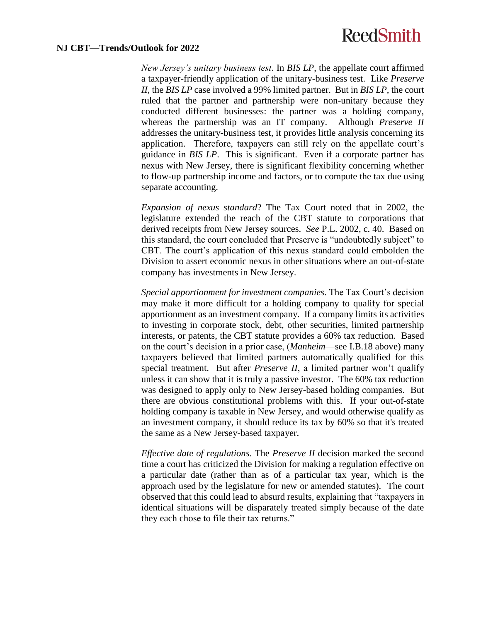#### **NJ CBT—Trends/Outlook for 2022**

*New Jersey's unitary business test*. In *BIS LP*, the appellate court affirmed a taxpayer-friendly application of the unitary-business test. Like *Preserve II*, the *BIS LP* case involved a 99% limited partner. But in *BIS LP*, the court ruled that the partner and partnership were non-unitary because they conducted different businesses: the partner was a holding company, whereas the partnership was an IT company. Although *Preserve II* addresses the unitary-business test, it provides little analysis concerning its application. Therefore, taxpayers can still rely on the appellate court's guidance in *BIS LP*. This is significant. Even if a corporate partner has nexus with New Jersey, there is significant flexibility concerning whether to flow-up partnership income and factors, or to compute the tax due using separate accounting.

*Expansion of nexus standard*? The Tax Court noted that in 2002, the legislature extended the reach of the CBT statute to corporations that derived receipts from New Jersey sources. *See* P.L. 2002, c. 40. Based on this standard, the court concluded that Preserve is "undoubtedly subject" to CBT. The court's application of this nexus standard could embolden the Division to assert economic nexus in other situations where an out-of-state company has investments in New Jersey.

*Special apportionment for investment companies*. The Tax Court's decision may make it more difficult for a holding company to qualify for special apportionment as an investment company. If a company limits its activities to investing in corporate stock, debt, other securities, limited partnership interests, or patents, the CBT statute provides a 60% tax reduction. Based on the court's decision in a prior case, (*Manheim*—see [I.B.18](#page-20-0) above) many taxpayers believed that limited partners automatically qualified for this special treatment. But after *Preserve II*, a limited partner won't qualify unless it can show that it is truly a passive investor. The 60% tax reduction was designed to apply only to New Jersey-based holding companies. But there are obvious constitutional problems with this. If your out-of-state holding company is taxable in New Jersey, and would otherwise qualify as an investment company, it should reduce its tax by 60% so that it's treated the same as a New Jersey-based taxpayer.

*Effective date of regulations*. The *Preserve II* decision marked the second time a court has criticized the Division for making a regulation effective on a particular date (rather than as of a particular tax year, which is the approach used by the legislature for new or amended statutes). The court observed that this could lead to absurd results, explaining that "taxpayers in identical situations will be disparately treated simply because of the date they each chose to file their tax returns."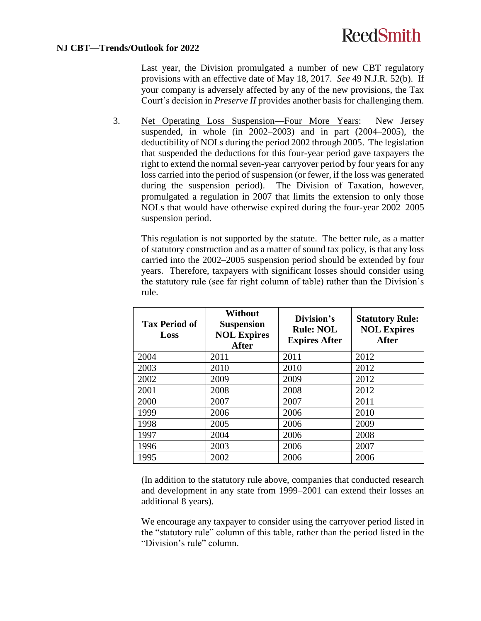### **NJ CBT—Trends/Outlook for 2022**

Last year, the Division promulgated a number of new CBT regulatory provisions with an effective date of May 18, 2017. *See* 49 N.J.R. 52(b). If your company is adversely affected by any of the new provisions, the Tax Court's decision in *Preserve II* provides another basis for challenging them.

3. Net Operating Loss Suspension—Four More Years: New Jersey suspended, in whole (in 2002–2003) and in part (2004–2005), the deductibility of NOLs during the period 2002 through 2005. The legislation that suspended the deductions for this four-year period gave taxpayers the right to extend the normal seven-year carryover period by four years for any loss carried into the period of suspension (or fewer, if the loss was generated during the suspension period). The Division of Taxation, however, promulgated a regulation in 2007 that limits the extension to only those NOLs that would have otherwise expired during the four-year 2002–2005 suspension period.

This regulation is not supported by the statute. The better rule, as a matter of statutory construction and as a matter of sound tax policy, is that any loss carried into the 2002–2005 suspension period should be extended by four years. Therefore, taxpayers with significant losses should consider using the statutory rule (see far right column of table) rather than the Division's rule.

| <b>Tax Period of</b><br>Loss | Without<br><b>Suspension</b><br><b>NOL Expires</b><br><b>After</b> | Division's<br><b>Rule: NOL</b><br><b>Expires After</b> | <b>Statutory Rule:</b><br><b>NOL Expires</b><br><b>After</b> |
|------------------------------|--------------------------------------------------------------------|--------------------------------------------------------|--------------------------------------------------------------|
| 2004                         | 2011                                                               | 2011                                                   | 2012                                                         |
| 2003                         | 2010                                                               | 2010                                                   | 2012                                                         |
| 2002                         | 2009                                                               | 2009                                                   | 2012                                                         |
| 2001                         | 2008                                                               | 2008                                                   | 2012                                                         |
| 2000                         | 2007                                                               | 2007                                                   | 2011                                                         |
| 1999                         | 2006                                                               | 2006                                                   | 2010                                                         |
| 1998                         | 2005                                                               | 2006                                                   | 2009                                                         |
| 1997                         | 2004                                                               | 2006                                                   | 2008                                                         |
| 1996                         | 2003                                                               | 2006                                                   | 2007                                                         |
| 1995                         | 2002                                                               | 2006                                                   | 2006                                                         |

(In addition to the statutory rule above, companies that conducted research and development in any state from 1999–2001 can extend their losses an additional 8 years).

We encourage any taxpayer to consider using the carryover period listed in the "statutory rule" column of this table, rather than the period listed in the "Division's rule" column.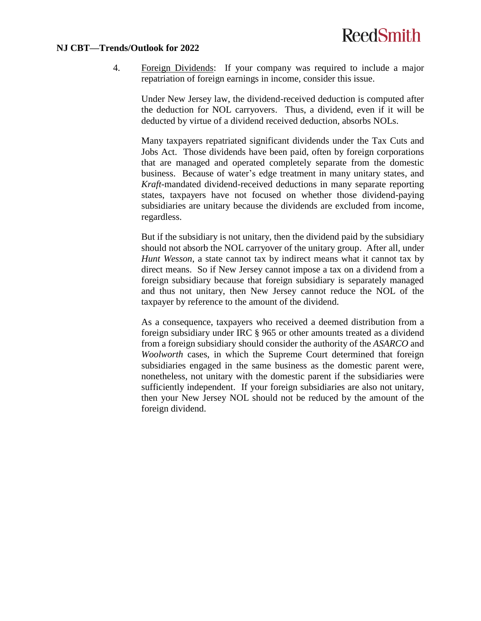#### **NJ CBT—Trends/Outlook for 2022**

4. Foreign Dividends: If your company was required to include a major repatriation of foreign earnings in income, consider this issue.

Under New Jersey law, the dividend-received deduction is computed after the deduction for NOL carryovers. Thus, a dividend, even if it will be deducted by virtue of a dividend received deduction, absorbs NOLs.

Many taxpayers repatriated significant dividends under the Tax Cuts and Jobs Act. Those dividends have been paid, often by foreign corporations that are managed and operated completely separate from the domestic business. Because of water's edge treatment in many unitary states, and *Kraft-*mandated dividend-received deductions in many separate reporting states, taxpayers have not focused on whether those dividend-paying subsidiaries are unitary because the dividends are excluded from income, regardless.

But if the subsidiary is not unitary, then the dividend paid by the subsidiary should not absorb the NOL carryover of the unitary group. After all, under *Hunt Wesson*, a state cannot tax by indirect means what it cannot tax by direct means. So if New Jersey cannot impose a tax on a dividend from a foreign subsidiary because that foreign subsidiary is separately managed and thus not unitary, then New Jersey cannot reduce the NOL of the taxpayer by reference to the amount of the dividend.

As a consequence, taxpayers who received a deemed distribution from a foreign subsidiary under IRC § 965 or other amounts treated as a dividend from a foreign subsidiary should consider the authority of the *ASARCO* and *Woolworth* cases, in which the Supreme Court determined that foreign subsidiaries engaged in the same business as the domestic parent were, nonetheless, not unitary with the domestic parent if the subsidiaries were sufficiently independent. If your foreign subsidiaries are also not unitary, then your New Jersey NOL should not be reduced by the amount of the foreign dividend.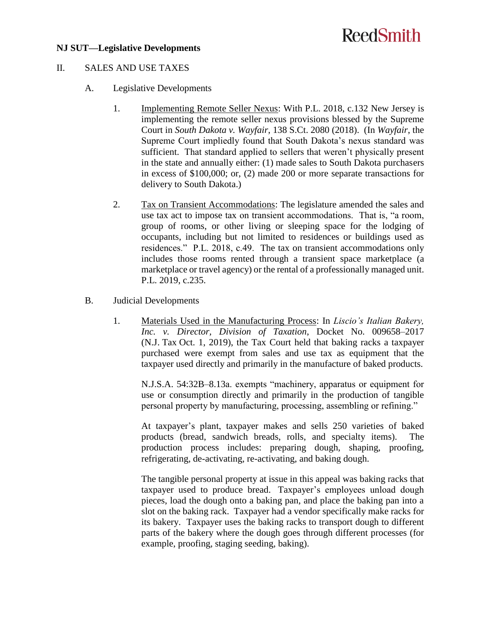### **NJ SUT—Legislative Developments**

# **ReedSmith**

### II. SALES AND USE TAXES

### A. Legislative Developments

- 1. Implementing Remote Seller Nexus: With P.L. 2018, c.132 New Jersey is implementing the remote seller nexus provisions blessed by the Supreme Court in *South Dakota v. Wayfair*, 138 S.Ct. 2080 (2018). (In *Wayfair*, the Supreme Court impliedly found that South Dakota's nexus standard was sufficient. That standard applied to sellers that weren't physically present in the state and annually either: (1) made sales to South Dakota purchasers in excess of \$100,000; or, (2) made 200 or more separate transactions for delivery to South Dakota.)
- 2. Tax on Transient Accommodations: The legislature amended the sales and use tax act to impose tax on transient accommodations. That is, "a room, group of rooms, or other living or sleeping space for the lodging of occupants, including but not limited to residences or buildings used as residences." P.L. 2018, c.49. The tax on transient accommodations only includes those rooms rented through a transient space marketplace (a marketplace or travel agency) or the rental of a professionally managed unit. P.L. 2019, c.235.
- B. Judicial Developments
	- 1. Materials Used in the Manufacturing Process: In *Liscio's Italian Bakery, Inc. v. Director, Division of Taxation*, Docket No. 009658–2017 (N.J. Tax Oct. 1, 2019), the Tax Court held that baking racks a taxpayer purchased were exempt from sales and use tax as equipment that the taxpayer used directly and primarily in the manufacture of baked products.

N.J.S.A. 54:32B–8.13a. exempts "machinery, apparatus or equipment for use or consumption directly and primarily in the production of tangible personal property by manufacturing, processing, assembling or refining."

At taxpayer's plant, taxpayer makes and sells 250 varieties of baked products (bread, sandwich breads, rolls, and specialty items). The production process includes: preparing dough, shaping, proofing, refrigerating, de-activating, re-activating, and baking dough.

The tangible personal property at issue in this appeal was baking racks that taxpayer used to produce bread. Taxpayer's employees unload dough pieces, load the dough onto a baking pan, and place the baking pan into a slot on the baking rack. Taxpayer had a vendor specifically make racks for its bakery. Taxpayer uses the baking racks to transport dough to different parts of the bakery where the dough goes through different processes (for example, proofing, staging seeding, baking).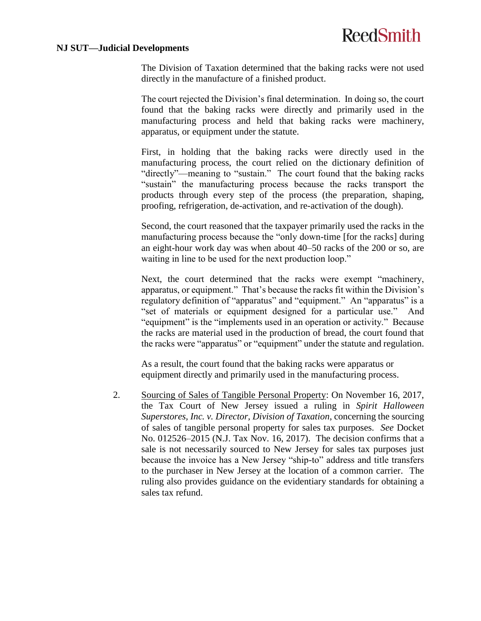#### **NJ SUT—Judicial Developments**

The Division of Taxation determined that the baking racks were not used directly in the manufacture of a finished product.

The court rejected the Division's final determination. In doing so, the court found that the baking racks were directly and primarily used in the manufacturing process and held that baking racks were machinery, apparatus, or equipment under the statute.

First, in holding that the baking racks were directly used in the manufacturing process, the court relied on the dictionary definition of "directly"—meaning to "sustain." The court found that the baking racks "sustain" the manufacturing process because the racks transport the products through every step of the process (the preparation, shaping, proofing, refrigeration, de-activation, and re-activation of the dough).

Second, the court reasoned that the taxpayer primarily used the racks in the manufacturing process because the "only down-time [for the racks] during an eight-hour work day was when about 40–50 racks of the 200 or so, are waiting in line to be used for the next production loop."

Next, the court determined that the racks were exempt "machinery, apparatus, or equipment." That's because the racks fit within the Division's regulatory definition of "apparatus" and "equipment." An "apparatus" is a "set of materials or equipment designed for a particular use." And "equipment" is the "implements used in an operation or activity." Because the racks are material used in the production of bread, the court found that the racks were "apparatus" or "equipment" under the statute and regulation.

As a result, the court found that the baking racks were apparatus or equipment directly and primarily used in the manufacturing process.

2. Sourcing of Sales of Tangible Personal Property: On November 16, 2017, the Tax Court of New Jersey issued a ruling in *Spirit Halloween Superstores, Inc. v. Director, Division of Taxation*, concerning the sourcing of sales of tangible personal property for sales tax purposes. *See* Docket No. 012526–2015 (N.J. Tax Nov. 16, 2017). The decision confirms that a sale is not necessarily sourced to New Jersey for sales tax purposes just because the invoice has a New Jersey "ship-to" address and title transfers to the purchaser in New Jersey at the location of a common carrier. The ruling also provides guidance on the evidentiary standards for obtaining a sales tax refund.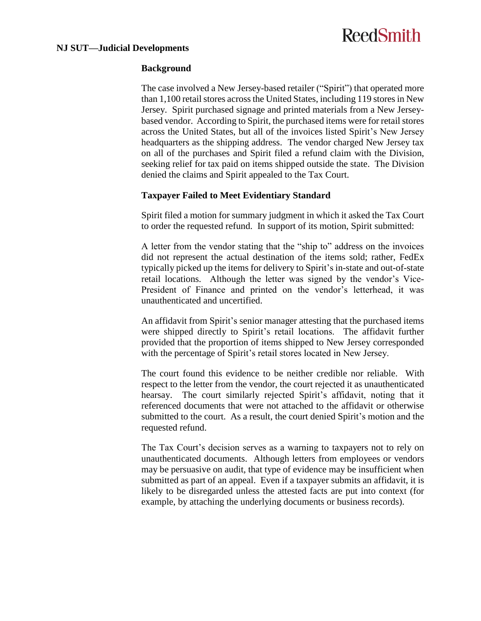#### **NJ SUT—Judicial Developments**

# **ReedSmith**

### **Background**

The case involved a New Jersey-based retailer ("Spirit") that operated more than 1,100 retail stores across the United States, including 119 stores in New Jersey. Spirit purchased signage and printed materials from a New Jerseybased vendor. According to Spirit, the purchased items were for retail stores across the United States, but all of the invoices listed Spirit's New Jersey headquarters as the shipping address. The vendor charged New Jersey tax on all of the purchases and Spirit filed a refund claim with the Division, seeking relief for tax paid on items shipped outside the state. The Division denied the claims and Spirit appealed to the Tax Court.

### **Taxpayer Failed to Meet Evidentiary Standard**

Spirit filed a motion for summary judgment in which it asked the Tax Court to order the requested refund. In support of its motion, Spirit submitted:

A letter from the vendor stating that the "ship to" address on the invoices did not represent the actual destination of the items sold; rather, FedEx typically picked up the items for delivery to Spirit's in-state and out-of-state retail locations. Although the letter was signed by the vendor's Vice-President of Finance and printed on the vendor's letterhead, it was unauthenticated and uncertified.

An affidavit from Spirit's senior manager attesting that the purchased items were shipped directly to Spirit's retail locations. The affidavit further provided that the proportion of items shipped to New Jersey corresponded with the percentage of Spirit's retail stores located in New Jersey.

The court found this evidence to be neither credible nor reliable. With respect to the letter from the vendor, the court rejected it as unauthenticated hearsay. The court similarly rejected Spirit's affidavit, noting that it referenced documents that were not attached to the affidavit or otherwise submitted to the court. As a result, the court denied Spirit's motion and the requested refund.

The Tax Court's decision serves as a warning to taxpayers not to rely on unauthenticated documents. Although letters from employees or vendors may be persuasive on audit, that type of evidence may be insufficient when submitted as part of an appeal. Even if a taxpayer submits an affidavit, it is likely to be disregarded unless the attested facts are put into context (for example, by attaching the underlying documents or business records).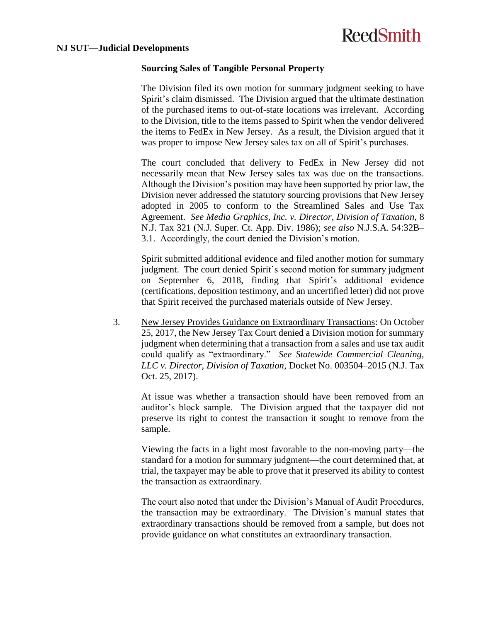### **Sourcing Sales of Tangible Personal Property**

The Division filed its own motion for summary judgment seeking to have Spirit's claim dismissed. The Division argued that the ultimate destination of the purchased items to out-of-state locations was irrelevant. According to the Division, title to the items passed to Spirit when the vendor delivered the items to FedEx in New Jersey. As a result, the Division argued that it was proper to impose New Jersey sales tax on all of Spirit's purchases.

The court concluded that delivery to FedEx in New Jersey did not necessarily mean that New Jersey sales tax was due on the transactions. Although the Division's position may have been supported by prior law, the Division never addressed the statutory sourcing provisions that New Jersey adopted in 2005 to conform to the Streamlined Sales and Use Tax Agreement. *See Media Graphics, Inc. v. Director, Division of Taxation*, 8 N.J. Tax 321 (N.J. Super. Ct. App. Div. 1986); *see also* N.J.S.A. 54:32B– 3.1. Accordingly, the court denied the Division's motion.

Spirit submitted additional evidence and filed another motion for summary judgment. The court denied Spirit's second motion for summary judgment on September 6, 2018, finding that Spirit's additional evidence (certifications, deposition testimony, and an uncertified letter) did not prove that Spirit received the purchased materials outside of New Jersey.

3. New Jersey Provides Guidance on Extraordinary Transactions: On October 25, 2017, the New Jersey Tax Court denied a Division motion for summary judgment when determining that a transaction from a sales and use tax audit could qualify as "extraordinary." *See Statewide Commercial Cleaning, LLC v. Director, Division of Taxation*, Docket No. 003504–2015 (N.J. Tax Oct. 25, 2017).

At issue was whether a transaction should have been removed from an auditor's block sample. The Division argued that the taxpayer did not preserve its right to contest the transaction it sought to remove from the sample.

Viewing the facts in a light most favorable to the non-moving party—the standard for a motion for summary judgment—the court determined that, at trial, the taxpayer may be able to prove that it preserved its ability to contest the transaction as extraordinary.

The court also noted that under the Division's Manual of Audit Procedures, the transaction may be extraordinary. The Division's manual states that extraordinary transactions should be removed from a sample, but does not provide guidance on what constitutes an extraordinary transaction.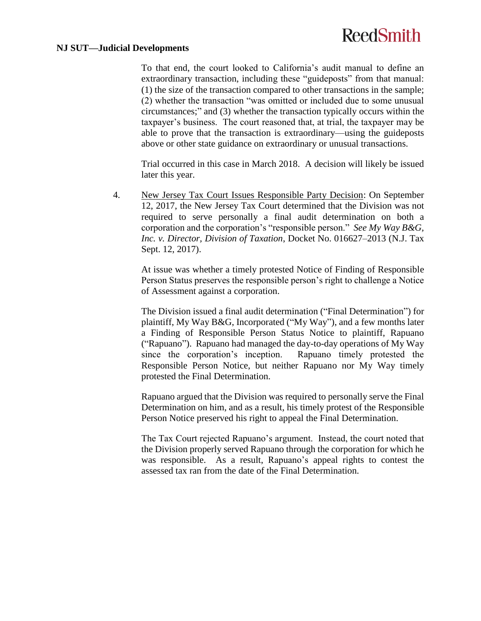#### **NJ SUT—Judicial Developments**

To that end, the court looked to California's audit manual to define an extraordinary transaction, including these "guideposts" from that manual: (1) the size of the transaction compared to other transactions in the sample; (2) whether the transaction "was omitted or included due to some unusual circumstances;" and (3) whether the transaction typically occurs within the taxpayer's business. The court reasoned that, at trial, the taxpayer may be able to prove that the transaction is extraordinary—using the guideposts above or other state guidance on extraordinary or unusual transactions.

Trial occurred in this case in March 2018. A decision will likely be issued later this year.

4. New Jersey Tax Court Issues Responsible Party Decision: On September 12, 2017, the New Jersey Tax Court determined that the Division was not required to serve personally a final audit determination on both a corporation and the corporation's "responsible person." *See My Way B&G, Inc. v. Director, Division of Taxation*, Docket No. 016627–2013 (N.J. Tax Sept. 12, 2017).

At issue was whether a timely protested Notice of Finding of Responsible Person Status preserves the responsible person's right to challenge a Notice of Assessment against a corporation.

The Division issued a final audit determination ("Final Determination") for plaintiff, My Way B&G, Incorporated ("My Way"), and a few months later a Finding of Responsible Person Status Notice to plaintiff, Rapuano ("Rapuano"). Rapuano had managed the day-to-day operations of My Way since the corporation's inception. Rapuano timely protested the Responsible Person Notice, but neither Rapuano nor My Way timely protested the Final Determination.

Rapuano argued that the Division was required to personally serve the Final Determination on him, and as a result, his timely protest of the Responsible Person Notice preserved his right to appeal the Final Determination.

The Tax Court rejected Rapuano's argument. Instead, the court noted that the Division properly served Rapuano through the corporation for which he was responsible. As a result, Rapuano's appeal rights to contest the assessed tax ran from the date of the Final Determination.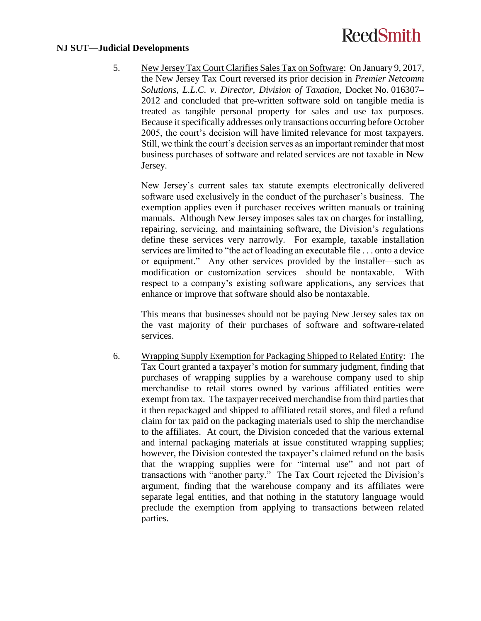#### **NJ SUT—Judicial Developments**

5. New Jersey Tax Court Clarifies Sales Tax on Software: On January 9, 2017, the New Jersey Tax Court reversed its prior decision in *Premier Netcomm Solutions, L.L.C. v. Director, Division of Taxation*, Docket No. 016307– 2012 and concluded that pre-written software sold on tangible media is treated as tangible personal property for sales and use tax purposes. Because it specifically addresses only transactions occurring before October 2005, the court's decision will have limited relevance for most taxpayers. Still, we think the court's decision serves as an important reminder that most business purchases of software and related services are not taxable in New Jersey.

New Jersey's current sales tax statute exempts electronically delivered software used exclusively in the conduct of the purchaser's business. The exemption applies even if purchaser receives written manuals or training manuals. Although New Jersey imposes sales tax on charges for installing, repairing, servicing, and maintaining software, the Division's regulations define these services very narrowly. For example, taxable installation services are limited to "the act of loading an executable file . . . onto a device or equipment." Any other services provided by the installer—such as modification or customization services—should be nontaxable. With respect to a company's existing software applications, any services that enhance or improve that software should also be nontaxable.

This means that businesses should not be paying New Jersey sales tax on the vast majority of their purchases of software and software-related services.

6. Wrapping Supply Exemption for Packaging Shipped to Related Entity: The Tax Court granted a taxpayer's motion for summary judgment, finding that purchases of wrapping supplies by a warehouse company used to ship merchandise to retail stores owned by various affiliated entities were exempt from tax. The taxpayer received merchandise from third parties that it then repackaged and shipped to affiliated retail stores, and filed a refund claim for tax paid on the packaging materials used to ship the merchandise to the affiliates. At court, the Division conceded that the various external and internal packaging materials at issue constituted wrapping supplies; however, the Division contested the taxpayer's claimed refund on the basis that the wrapping supplies were for "internal use" and not part of transactions with "another party." The Tax Court rejected the Division's argument, finding that the warehouse company and its affiliates were separate legal entities, and that nothing in the statutory language would preclude the exemption from applying to transactions between related parties.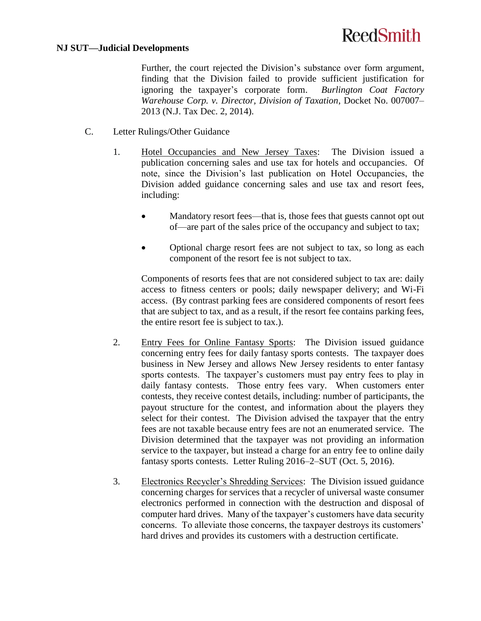#### **NJ SUT—Judicial Developments**

Further, the court rejected the Division's substance over form argument, finding that the Division failed to provide sufficient justification for ignoring the taxpayer's corporate form. *Burlington Coat Factory Warehouse Corp. v. Director, Division of Taxation*, Docket No. 007007– 2013 (N.J. Tax Dec. 2, 2014).

- C. Letter Rulings/Other Guidance
	- 1. Hotel Occupancies and New Jersey Taxes: The Division issued a publication concerning sales and use tax for hotels and occupancies. Of note, since the Division's last publication on Hotel Occupancies, the Division added guidance concerning sales and use tax and resort fees, including:
		- Mandatory resort fees—that is, those fees that guests cannot opt out of—are part of the sales price of the occupancy and subject to tax;
		- Optional charge resort fees are not subject to tax, so long as each component of the resort fee is not subject to tax.

Components of resorts fees that are not considered subject to tax are: daily access to fitness centers or pools; daily newspaper delivery; and Wi-Fi access. (By contrast parking fees are considered components of resort fees that are subject to tax, and as a result, if the resort fee contains parking fees, the entire resort fee is subject to tax.).

- 2. Entry Fees for Online Fantasy Sports: The Division issued guidance concerning entry fees for daily fantasy sports contests. The taxpayer does business in New Jersey and allows New Jersey residents to enter fantasy sports contests. The taxpayer's customers must pay entry fees to play in daily fantasy contests. Those entry fees vary. When customers enter contests, they receive contest details, including: number of participants, the payout structure for the contest, and information about the players they select for their contest. The Division advised the taxpayer that the entry fees are not taxable because entry fees are not an enumerated service. The Division determined that the taxpayer was not providing an information service to the taxpayer, but instead a charge for an entry fee to online daily fantasy sports contests. Letter Ruling 2016–2–SUT (Oct. 5, 2016).
- 3. Electronics Recycler's Shredding Services: The Division issued guidance concerning charges for services that a recycler of universal waste consumer electronics performed in connection with the destruction and disposal of computer hard drives. Many of the taxpayer's customers have data security concerns. To alleviate those concerns, the taxpayer destroys its customers' hard drives and provides its customers with a destruction certificate.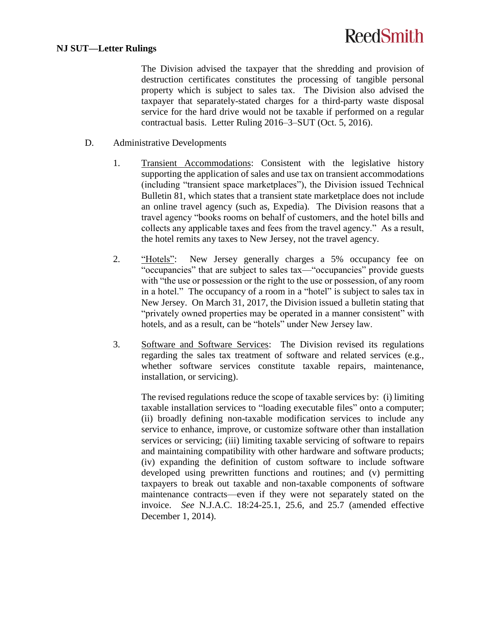The Division advised the taxpayer that the shredding and provision of destruction certificates constitutes the processing of tangible personal property which is subject to sales tax. The Division also advised the taxpayer that separately-stated charges for a third-party waste disposal service for the hard drive would not be taxable if performed on a regular contractual basis. Letter Ruling 2016–3–SUT (Oct. 5, 2016).

- D. Administrative Developments
	- 1. Transient Accommodations: Consistent with the legislative history supporting the application of sales and use tax on transient accommodations (including "transient space marketplaces"), the Division issued Technical Bulletin 81, which states that a transient state marketplace does not include an online travel agency (such as, Expedia). The Division reasons that a travel agency "books rooms on behalf of customers, and the hotel bills and collects any applicable taxes and fees from the travel agency." As a result, the hotel remits any taxes to New Jersey, not the travel agency.
	- 2. "Hotels": New Jersey generally charges a 5% occupancy fee on "occupancies" that are subject to sales tax—"occupancies" provide guests with "the use or possession or the right to the use or possession, of any room in a hotel." The occupancy of a room in a "hotel" is subject to sales tax in New Jersey. On March 31, 2017, the Division issued a bulletin stating that "privately owned properties may be operated in a manner consistent" with hotels, and as a result, can be "hotels" under New Jersey law.
	- 3. Software and Software Services: The Division revised its regulations regarding the sales tax treatment of software and related services (e.g., whether software services constitute taxable repairs, maintenance, installation, or servicing).

The revised regulations reduce the scope of taxable services by: (i) limiting taxable installation services to "loading executable files" onto a computer; (ii) broadly defining non-taxable modification services to include any service to enhance, improve, or customize software other than installation services or servicing; (iii) limiting taxable servicing of software to repairs and maintaining compatibility with other hardware and software products; (iv) expanding the definition of custom software to include software developed using prewritten functions and routines; and (v) permitting taxpayers to break out taxable and non-taxable components of software maintenance contracts—even if they were not separately stated on the invoice. *See* N.J.A.C. 18:24-25.1, 25.6, and 25.7 (amended effective December 1, 2014).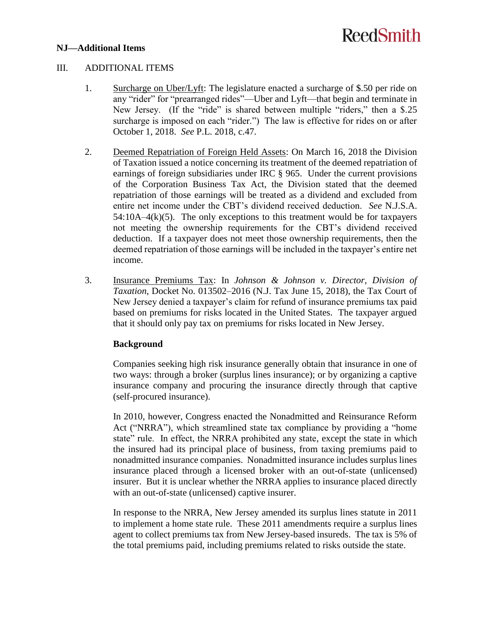### **NJ—Additional Items**

# **ReedSmith**

#### III. ADDITIONAL ITEMS

- 1. Surcharge on Uber/Lyft: The legislature enacted a surcharge of \$.50 per ride on any "rider" for "prearranged rides"—Uber and Lyft—that begin and terminate in New Jersey. (If the "ride" is shared between multiple "riders," then a \$.25 surcharge is imposed on each "rider.") The law is effective for rides on or after October 1, 2018. *See* P.L. 2018, c.47.
- 2. Deemed Repatriation of Foreign Held Assets: On March 16, 2018 the Division of Taxation issued a notice concerning its treatment of the deemed repatriation of earnings of foreign subsidiaries under IRC § 965. Under the current provisions of the Corporation Business Tax Act, the Division stated that the deemed repatriation of those earnings will be treated as a dividend and excluded from entire net income under the CBT's dividend received deduction. *See* N.J.S.A.  $54:10A-4(k)(5)$ . The only exceptions to this treatment would be for taxpayers not meeting the ownership requirements for the CBT's dividend received deduction. If a taxpayer does not meet those ownership requirements, then the deemed repatriation of those earnings will be included in the taxpayer's entire net income.
- 3. Insurance Premiums Tax: In *Johnson & Johnson v. Director, Division of Taxation*, Docket No. 013502–2016 (N.J. Tax June 15, 2018), the Tax Court of New Jersey denied a taxpayer's claim for refund of insurance premiums tax paid based on premiums for risks located in the United States. The taxpayer argued that it should only pay tax on premiums for risks located in New Jersey.

### **Background**

Companies seeking high risk insurance generally obtain that insurance in one of two ways: through a broker (surplus lines insurance); or by organizing a captive insurance company and procuring the insurance directly through that captive (self-procured insurance).

In 2010, however, Congress enacted the Nonadmitted and Reinsurance Reform Act ("NRRA"), which streamlined state tax compliance by providing a "home state" rule. In effect, the NRRA prohibited any state, except the state in which the insured had its principal place of business, from taxing premiums paid to nonadmitted insurance companies. Nonadmitted insurance includes surplus lines insurance placed through a licensed broker with an out-of-state (unlicensed) insurer. But it is unclear whether the NRRA applies to insurance placed directly with an out-of-state (unlicensed) captive insurer.

In response to the NRRA, New Jersey amended its surplus lines statute in 2011 to implement a home state rule. These 2011 amendments require a surplus lines agent to collect premiums tax from New Jersey-based insureds. The tax is 5% of the total premiums paid, including premiums related to risks outside the state.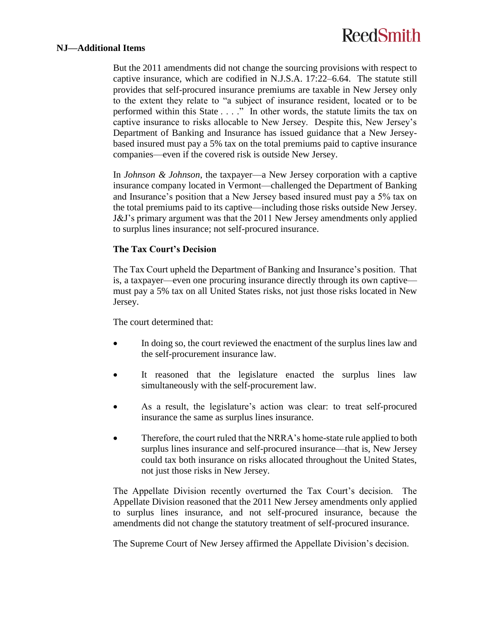#### **NJ—Additional Items**

But the 2011 amendments did not change the sourcing provisions with respect to captive insurance, which are codified in N.J.S.A. 17:22–6.64. The statute still provides that self-procured insurance premiums are taxable in New Jersey only to the extent they relate to "a subject of insurance resident, located or to be performed within this State . . . ." In other words, the statute limits the tax on captive insurance to risks allocable to New Jersey. Despite this, New Jersey's Department of Banking and Insurance has issued guidance that a New Jerseybased insured must pay a 5% tax on the total premiums paid to captive insurance companies—even if the covered risk is outside New Jersey.

In *Johnson & Johnson*, the taxpayer—a New Jersey corporation with a captive insurance company located in Vermont—challenged the Department of Banking and Insurance's position that a New Jersey based insured must pay a 5% tax on the total premiums paid to its captive—including those risks outside New Jersey. J&J's primary argument was that the 2011 New Jersey amendments only applied to surplus lines insurance; not self-procured insurance.

#### **The Tax Court's Decision**

The Tax Court upheld the Department of Banking and Insurance's position. That is, a taxpayer—even one procuring insurance directly through its own captive must pay a 5% tax on all United States risks, not just those risks located in New Jersey.

The court determined that:

- In doing so, the court reviewed the enactment of the surplus lines law and the self-procurement insurance law.
- It reasoned that the legislature enacted the surplus lines law simultaneously with the self-procurement law.
- As a result, the legislature's action was clear: to treat self-procured insurance the same as surplus lines insurance.
- Therefore, the court ruled that the NRRA's home-state rule applied to both surplus lines insurance and self-procured insurance—that is, New Jersey could tax both insurance on risks allocated throughout the United States, not just those risks in New Jersey.

The Appellate Division recently overturned the Tax Court's decision. The Appellate Division reasoned that the 2011 New Jersey amendments only applied to surplus lines insurance, and not self-procured insurance, because the amendments did not change the statutory treatment of self-procured insurance.

The Supreme Court of New Jersey affirmed the Appellate Division's decision.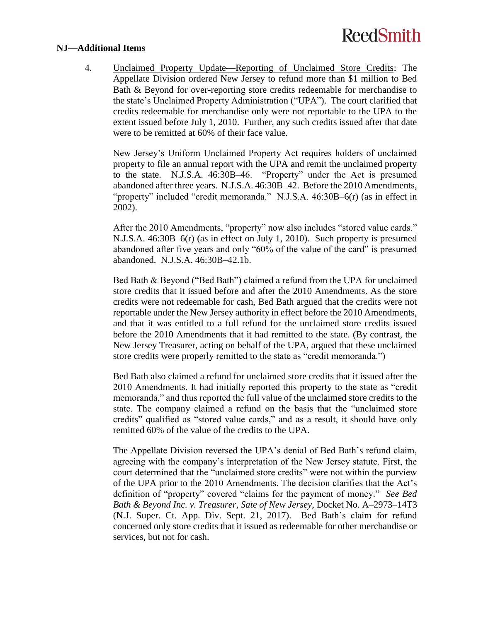#### **NJ—Additional Items**

4. Unclaimed Property Update—Reporting of Unclaimed Store Credits: The Appellate Division ordered New Jersey to refund more than \$1 million to Bed Bath & Beyond for over-reporting store credits redeemable for merchandise to the state's Unclaimed Property Administration ("UPA"). The court clarified that credits redeemable for merchandise only were not reportable to the UPA to the extent issued before July 1, 2010. Further, any such credits issued after that date were to be remitted at 60% of their face value.

New Jersey's Uniform Unclaimed Property Act requires holders of unclaimed property to file an annual report with the UPA and remit the unclaimed property to the state. N.J.S.A. 46:30B–46. "Property" under the Act is presumed abandoned after three years. N.J.S.A. 46:30B–42. Before the 2010 Amendments, "property" included "credit memoranda." N.J.S.A. 46:30B–6(r) (as in effect in 2002).

After the 2010 Amendments, "property" now also includes "stored value cards." N.J.S.A. 46:30B–6(r) (as in effect on July 1, 2010). Such property is presumed abandoned after five years and only "60% of the value of the card" is presumed abandoned. N.J.S.A. 46:30B–42.1b.

Bed Bath & Beyond ("Bed Bath") claimed a refund from the UPA for unclaimed store credits that it issued before and after the 2010 Amendments. As the store credits were not redeemable for cash, Bed Bath argued that the credits were not reportable under the New Jersey authority in effect before the 2010 Amendments, and that it was entitled to a full refund for the unclaimed store credits issued before the 2010 Amendments that it had remitted to the state. (By contrast, the New Jersey Treasurer, acting on behalf of the UPA, argued that these unclaimed store credits were properly remitted to the state as "credit memoranda.")

Bed Bath also claimed a refund for unclaimed store credits that it issued after the 2010 Amendments. It had initially reported this property to the state as "credit memoranda," and thus reported the full value of the unclaimed store credits to the state. The company claimed a refund on the basis that the "unclaimed store credits" qualified as "stored value cards," and as a result, it should have only remitted 60% of the value of the credits to the UPA.

The Appellate Division reversed the UPA's denial of Bed Bath's refund claim, agreeing with the company's interpretation of the New Jersey statute. First, the court determined that the "unclaimed store credits" were not within the purview of the UPA prior to the 2010 Amendments. The decision clarifies that the Act's definition of "property" covered "claims for the payment of money." *See Bed Bath & Beyond Inc. v. Treasurer, Sate of New Jersey*, Docket No. A–2973–14T3 (N.J. Super. Ct. App. Div. Sept. 21, 2017). Bed Bath's claim for refund concerned only store credits that it issued as redeemable for other merchandise or services, but not for cash.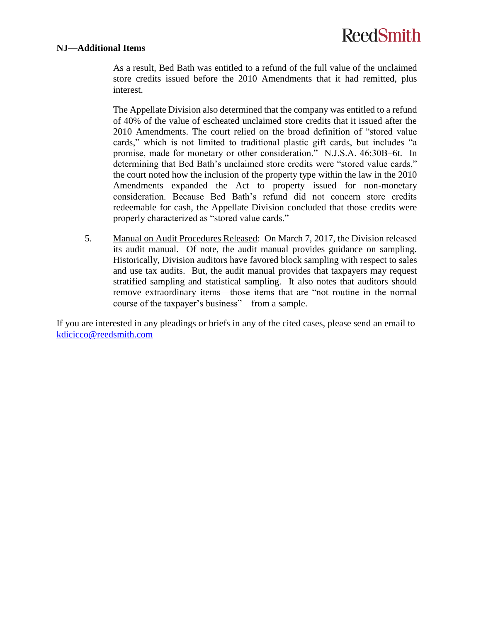### **NJ—Additional Items**

As a result, Bed Bath was entitled to a refund of the full value of the unclaimed store credits issued before the 2010 Amendments that it had remitted, plus interest.

The Appellate Division also determined that the company was entitled to a refund of 40% of the value of escheated unclaimed store credits that it issued after the 2010 Amendments. The court relied on the broad definition of "stored value cards," which is not limited to traditional plastic gift cards, but includes "a promise, made for monetary or other consideration." N.J.S.A. 46:30B–6t. In determining that Bed Bath's unclaimed store credits were "stored value cards," the court noted how the inclusion of the property type within the law in the 2010 Amendments expanded the Act to property issued for non-monetary consideration. Because Bed Bath's refund did not concern store credits redeemable for cash, the Appellate Division concluded that those credits were properly characterized as "stored value cards."

5. Manual on Audit Procedures Released: On March 7, 2017, the Division released its audit manual. Of note, the audit manual provides guidance on sampling. Historically, Division auditors have favored block sampling with respect to sales and use tax audits. But, the audit manual provides that taxpayers may request stratified sampling and statistical sampling. It also notes that auditors should remove extraordinary items—those items that are "not routine in the normal course of the taxpayer's business"—from a sample.

If you are interested in any pleadings or briefs in any of the cited cases, please send an email to [kdicicco@reedsmith.com](mailto:kdicicco@reedsmith.com)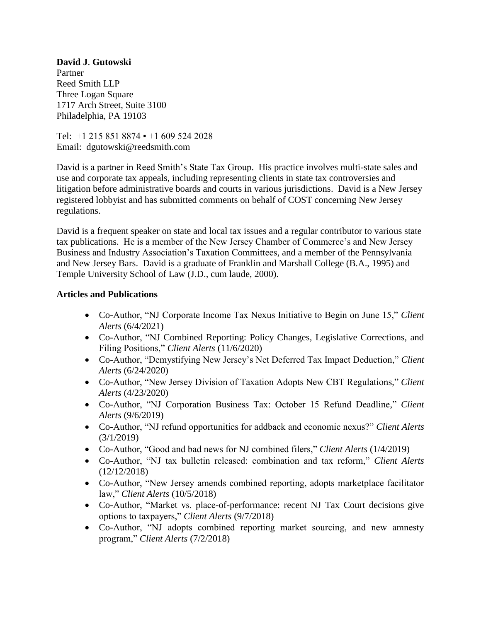**David J**. **Gutowski** Partner Reed Smith LLP Three Logan Square 1717 Arch Street, Suite 3100 Philadelphia, PA 19103

Tel:  $+1$  215 851 8874  $\bullet$  +1 609 524 2028 Email: dgutowski@reedsmith.com

David is a partner in Reed Smith's State Tax Group. His practice involves multi-state sales and use and corporate tax appeals, including representing clients in state tax controversies and litigation before administrative boards and courts in various jurisdictions. David is a New Jersey registered lobbyist and has submitted comments on behalf of COST concerning New Jersey regulations.

David is a frequent speaker on state and local tax issues and a regular contributor to various state tax publications. He is a member of the New Jersey Chamber of Commerce's and New Jersey Business and Industry Association's Taxation Committees, and a member of the Pennsylvania and New Jersey Bars. David is a graduate of Franklin and Marshall College (B.A., 1995) and Temple University School of Law (J.D., cum laude, 2000).

### **Articles and Publications**

- Co-Author, "NJ Corporate Income Tax Nexus Initiative to Begin on June 15," *Client Alerts* (6/4/2021)
- Co-Author, "NJ Combined Reporting: Policy Changes, Legislative Corrections, and Filing Positions," *Client Alerts* (11/6/2020)
- Co-Author, "Demystifying New Jersey's Net Deferred Tax Impact Deduction," *Client Alerts* (6/24/2020)
- Co-Author, "New Jersey Division of Taxation Adopts New CBT Regulations," *Client Alerts* (4/23/2020)
- Co-Author, "NJ Corporation Business Tax: October 15 Refund Deadline," *Client Alerts* (9/6/2019)
- Co-Author, "NJ refund opportunities for addback and economic nexus?" *Client Alerts* (3/1/2019)
- Co-Author, "Good and bad news for NJ combined filers," *Client Alerts* (1/4/2019)
- Co-Author, "NJ tax bulletin released: combination and tax reform," *Client Alerts* (12/12/2018)
- Co-Author, "New Jersey amends combined reporting, adopts marketplace facilitator law," *Client Alerts* (10/5/2018)
- Co-Author, "Market vs. place-of-performance: recent NJ Tax Court decisions give options to taxpayers," *Client Alerts* (9/7/2018)
- Co-Author, "NJ adopts combined reporting market sourcing, and new amnesty program," *Client Alerts* (7/2/2018)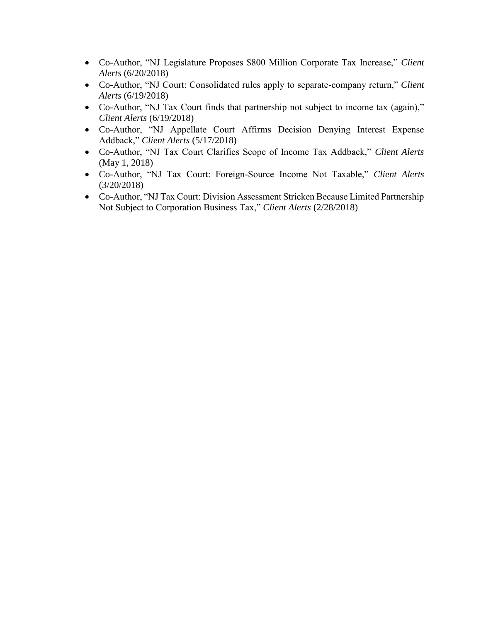- Co-Author, "NJ Legislature Proposes \$800 Million Corporate Tax Increase," *Client Alerts* (6/20/2018)
- Co-Author, "NJ Court: Consolidated rules apply to separate-company return," *Client Alerts* (6/19/2018)
- Co-Author, "NJ Tax Court finds that partnership not subject to income tax (again)," *Client Alerts* (6/19/2018)
- Co-Author, "NJ Appellate Court Affirms Decision Denying Interest Expense Addback," *Client Alerts* (5/17/2018)
- Co-Author, "NJ Tax Court Clarifies Scope of Income Tax Addback," *Client Alerts* (May 1, 2018)
- Co-Author, "NJ Tax Court: Foreign-Source Income Not Taxable," *Client Alerts* (3/20/2018)
- Co-Author, "NJ Tax Court: Division Assessment Stricken Because Limited Partnership Not Subject to Corporation Business Tax," *Client Alerts* (2/28/2018)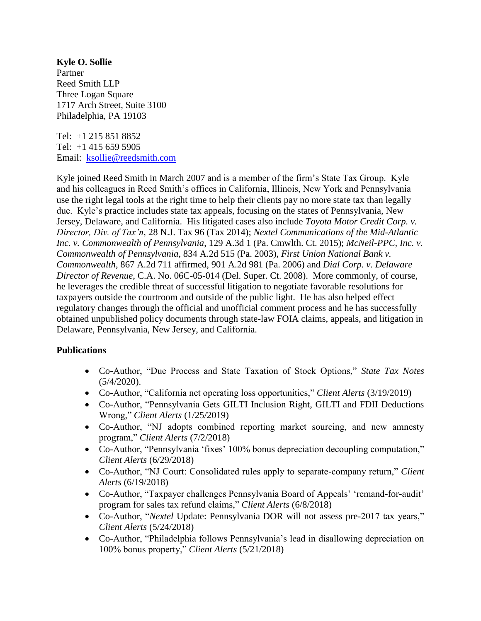**Kyle O. Sollie** Partner Reed Smith LLP Three Logan Square 1717 Arch Street, Suite 3100 Philadelphia, PA 19103

Tel: +1 215 851 8852 Tel: +1 415 659 5905 Email: [ksollie@reedsmith.com](mailto:ksollie@reedsmith.com)

Kyle joined Reed Smith in March 2007 and is a member of the firm's State Tax Group. Kyle and his colleagues in Reed Smith's offices in California, Illinois, New York and Pennsylvania use the right legal tools at the right time to help their clients pay no more state tax than legally due. Kyle's practice includes state tax appeals, focusing on the states of Pennsylvania, New Jersey, Delaware, and California. His litigated cases also include *Toyota Motor Credit Corp. v. Director, Div. of Tax'n*, 28 N.J. Tax 96 (Tax 2014); *Nextel Communications of the Mid-Atlantic Inc. v. Commonwealth of Pennsylvania*, 129 A.3d 1 (Pa. Cmwlth. Ct. 2015); *McNeil-PPC, Inc. v. Commonwealth of Pennsylvania*, 834 A.2d 515 (Pa. 2003), *First Union National Bank v. Commonwealth*, 867 A.2d 711 affirmed, 901 A.2d 981 (Pa. 2006) and *Dial Corp. v. Delaware Director of Revenue*, C.A. No. 06C-05-014 (Del. Super. Ct. 2008). More commonly, of course, he leverages the credible threat of successful litigation to negotiate favorable resolutions for taxpayers outside the courtroom and outside of the public light. He has also helped effect regulatory changes through the official and unofficial comment process and he has successfully obtained unpublished policy documents through state-law FOIA claims, appeals, and litigation in Delaware, Pennsylvania, New Jersey, and California.

## **Publications**

- Co-Author, "Due Process and State Taxation of Stock Options," *State Tax Notes*  $(5/4/2020)$ .
- Co-Author, "California net operating loss opportunities," *Client Alerts* (3/19/2019)
- Co-Author, "Pennsylvania Gets GILTI Inclusion Right, GILTI and FDII Deductions Wrong," *Client Alerts* (1/25/2019)
- Co-Author, "NJ adopts combined reporting market sourcing, and new amnesty program," *Client Alerts* (7/2/2018)
- Co-Author, "Pennsylvania 'fixes' 100% bonus depreciation decoupling computation," *Client Alerts* (6/29/2018)
- Co-Author, "NJ Court: Consolidated rules apply to separate-company return," *Client Alerts* (6/19/2018)
- Co-Author, "Taxpayer challenges Pennsylvania Board of Appeals' 'remand-for-audit' program for sales tax refund claims," *Client Alerts* (6/8/2018)
- Co-Author, "*Nextel* Update: Pennsylvania DOR will not assess pre-2017 tax years," *Client Alerts* (5/24/2018)
- Co-Author, "Philadelphia follows Pennsylvania's lead in disallowing depreciation on 100% bonus property," *Client Alerts* (5/21/2018)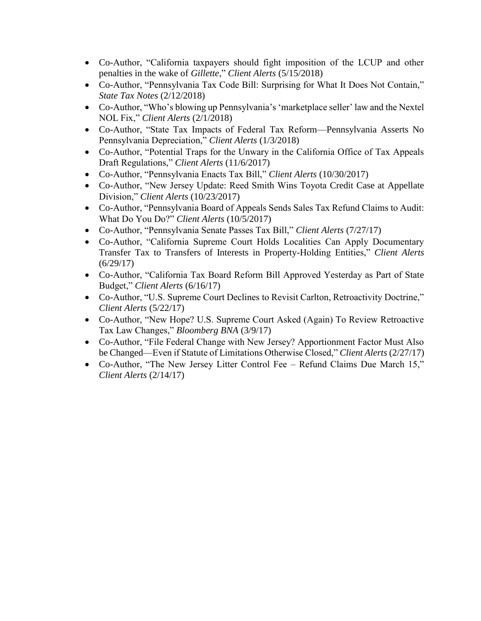- Co-Author, "California taxpayers should fight imposition of the LCUP and other penalties in the wake of *Gillette*," *Client Alerts* (5/15/2018)
- Co-Author, "Pennsylvania Tax Code Bill: Surprising for What It Does Not Contain," *State Tax Notes* (2/12/2018)
- Co-Author, "Who's blowing up Pennsylvania's 'marketplace seller' law and the Nextel NOL Fix," *Client Alerts* (2/1/2018)
- Co-Author, "State Tax Impacts of Federal Tax Reform—Pennsylvania Asserts No Pennsylvania Depreciation," *Client Alerts* (1/3/2018)
- Co-Author, "Potential Traps for the Unwary in the California Office of Tax Appeals Draft Regulations," *Client Alerts* (11/6/2017)
- Co-Author, "Pennsylvania Enacts Tax Bill," *Client Alerts* (10/30/2017)
- Co-Author, "New Jersey Update: Reed Smith Wins Toyota Credit Case at Appellate Division," *Client Alerts* (10/23/2017)
- Co-Author, "Pennsylvania Board of Appeals Sends Sales Tax Refund Claims to Audit: What Do You Do?" *Client Alerts* (10/5/2017)
- Co-Author, "Pennsylvania Senate Passes Tax Bill," *Client Alerts* (7/27/17)
- Co-Author, "California Supreme Court Holds Localities Can Apply Documentary Transfer Tax to Transfers of Interests in Property-Holding Entities," *Client Alerts*  $(6/29/17)$
- Co-Author, "California Tax Board Reform Bill Approved Yesterday as Part of State Budget," *Client Alerts* (6/16/17)
- Co-Author, "U.S. Supreme Court Declines to Revisit Carlton, Retroactivity Doctrine," *Client Alerts* (5/22/17)
- Co-Author, "New Hope? U.S. Supreme Court Asked (Again) To Review Retroactive Tax Law Changes," *Bloomberg BNA* (3/9/17)
- Co-Author, "File Federal Change with New Jersey? Apportionment Factor Must Also be Changed—Even if Statute of Limitations Otherwise Closed," *Client Alerts* (2/27/17)
- Co-Author, "The New Jersey Litter Control Fee Refund Claims Due March 15," *Client Alerts* (2/14/17)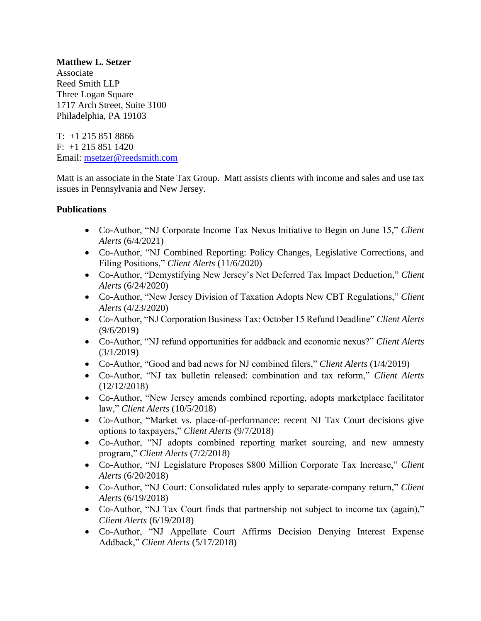**Matthew L. Setzer** Associate Reed Smith LLP Three Logan Square 1717 Arch Street, Suite 3100 Philadelphia, PA 19103

 $T: +1 215 851 8866$ F: +1 215 851 1420 Email: [msetzer@reedsmith.com](mailto:msetzer@reedsmith.com)

Matt is an associate in the State Tax Group. Matt assists clients with income and sales and use tax issues in Pennsylvania and New Jersey.

## **Publications**

- Co-Author, "NJ Corporate Income Tax Nexus Initiative to Begin on June 15," *Client Alerts* (6/4/2021)
- Co-Author, "NJ Combined Reporting: Policy Changes, Legislative Corrections, and Filing Positions," *Client Alerts* (11/6/2020)
- Co-Author, "Demystifying New Jersey's Net Deferred Tax Impact Deduction," *Client Alerts* (6/24/2020)
- Co-Author, "New Jersey Division of Taxation Adopts New CBT Regulations," *Client Alerts* (4/23/2020)
- Co-Author, "NJ Corporation Business Tax: October 15 Refund Deadline" *Client Alerts* (9/6/2019)
- Co-Author, "NJ refund opportunities for addback and economic nexus?" *Client Alerts* (3/1/2019)
- Co-Author, "Good and bad news for NJ combined filers," *Client Alerts* (1/4/2019)
- Co-Author, "NJ tax bulletin released: combination and tax reform," *Client Alerts* (12/12/2018)
- Co-Author, "New Jersey amends combined reporting, adopts marketplace facilitator law," *Client Alerts* (10/5/2018)
- Co-Author, "Market vs. place-of-performance: recent NJ Tax Court decisions give options to taxpayers," *Client Alerts* (9/7/2018)
- Co-Author, "NJ adopts combined reporting market sourcing, and new amnesty program," *Client Alerts* (7/2/2018)
- Co-Author, "NJ Legislature Proposes \$800 Million Corporate Tax Increase," *Client Alerts* (6/20/2018)
- Co-Author, "NJ Court: Consolidated rules apply to separate-company return," *Client Alerts* (6/19/2018)
- Co-Author, "NJ Tax Court finds that partnership not subject to income tax (again)," *Client Alerts* (6/19/2018)
- Co-Author, "NJ Appellate Court Affirms Decision Denying Interest Expense Addback," *Client Alerts* (5/17/2018)